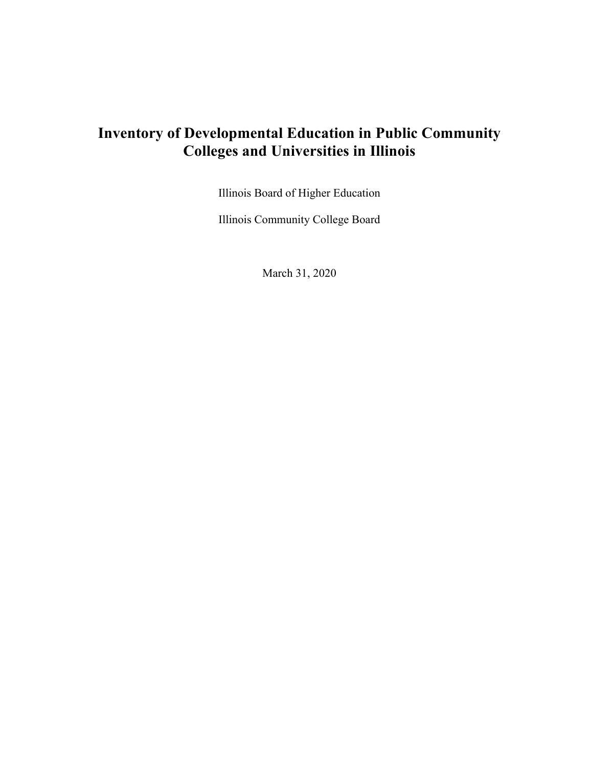# **Inventory of Developmental Education in Public Community Colleges and Universities in Illinois**

Illinois Board of Higher Education

Illinois Community College Board

March 31, 2020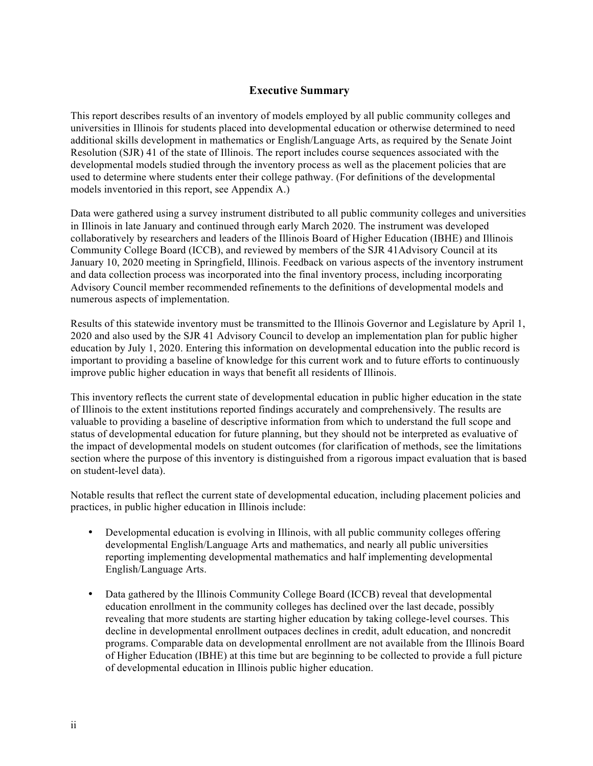## **Executive Summary**

This report describes results of an inventory of models employed by all public community colleges and universities in Illinois for students placed into developmental education or otherwise determined to need additional skills development in mathematics or English/Language Arts, as required by the Senate Joint Resolution (SJR) 41 of the state of Illinois. The report includes course sequences associated with the developmental models studied through the inventory process as well as the placement policies that are used to determine where students enter their college pathway. (For definitions of the developmental models inventoried in this report, see Appendix A.)

Data were gathered using a survey instrument distributed to all public community colleges and universities in Illinois in late January and continued through early March 2020. The instrument was developed collaboratively by researchers and leaders of the Illinois Board of Higher Education (IBHE) and Illinois Community College Board (ICCB), and reviewed by members of the SJR 41Advisory Council at its January 10, 2020 meeting in Springfield, Illinois. Feedback on various aspects of the inventory instrument and data collection process was incorporated into the final inventory process, including incorporating Advisory Council member recommended refinements to the definitions of developmental models and numerous aspects of implementation.

Results of this statewide inventory must be transmitted to the Illinois Governor and Legislature by April 1, 2020 and also used by the SJR 41 Advisory Council to develop an implementation plan for public higher education by July 1, 2020. Entering this information on developmental education into the public record is important to providing a baseline of knowledge for this current work and to future efforts to continuously improve public higher education in ways that benefit all residents of Illinois.

This inventory reflects the current state of developmental education in public higher education in the state of Illinois to the extent institutions reported findings accurately and comprehensively. The results are valuable to providing a baseline of descriptive information from which to understand the full scope and status of developmental education for future planning, but they should not be interpreted as evaluative of the impact of developmental models on student outcomes (for clarification of methods, see the limitations section where the purpose of this inventory is distinguished from a rigorous impact evaluation that is based on student-level data).

Notable results that reflect the current state of developmental education, including placement policies and practices, in public higher education in Illinois include:

- Developmental education is evolving in Illinois, with all public community colleges offering developmental English/Language Arts and mathematics, and nearly all public universities reporting implementing developmental mathematics and half implementing developmental English/Language Arts.
- Data gathered by the Illinois Community College Board (ICCB) reveal that developmental education enrollment in the community colleges has declined over the last decade, possibly revealing that more students are starting higher education by taking college-level courses. This decline in developmental enrollment outpaces declines in credit, adult education, and noncredit programs. Comparable data on developmental enrollment are not available from the Illinois Board of Higher Education (IBHE) at this time but are beginning to be collected to provide a full picture of developmental education in Illinois public higher education.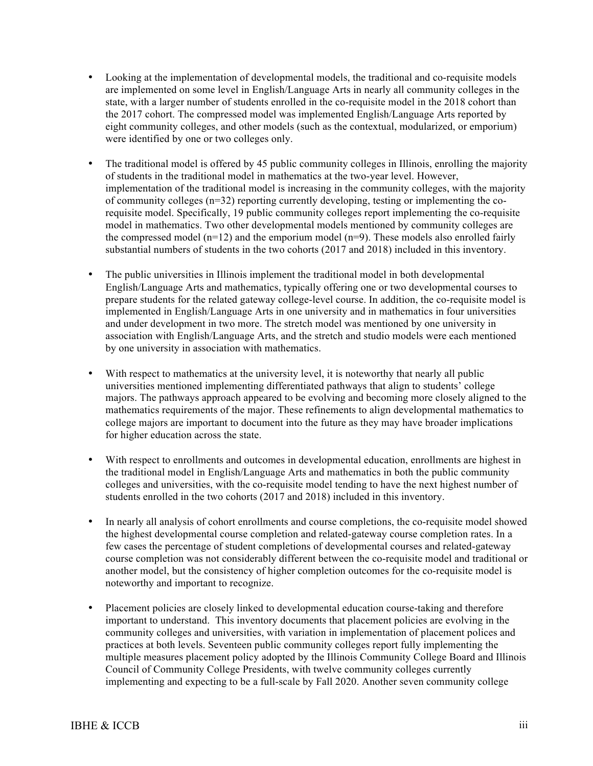- Looking at the implementation of developmental models, the traditional and co-requisite models are implemented on some level in English/Language Arts in nearly all community colleges in the state, with a larger number of students enrolled in the co-requisite model in the 2018 cohort than the 2017 cohort. The compressed model was implemented English/Language Arts reported by eight community colleges, and other models (such as the contextual, modularized, or emporium) were identified by one or two colleges only.
- The traditional model is offered by 45 public community colleges in Illinois, enrolling the majority of students in the traditional model in mathematics at the two-year level. However, implementation of the traditional model is increasing in the community colleges, with the majority of community colleges (n=32) reporting currently developing, testing or implementing the corequisite model. Specifically, 19 public community colleges report implementing the co-requisite model in mathematics. Two other developmental models mentioned by community colleges are the compressed model  $(n=12)$  and the emporium model  $(n=9)$ . These models also enrolled fairly substantial numbers of students in the two cohorts (2017 and 2018) included in this inventory.
- The public universities in Illinois implement the traditional model in both developmental English/Language Arts and mathematics, typically offering one or two developmental courses to prepare students for the related gateway college-level course. In addition, the co-requisite model is implemented in English/Language Arts in one university and in mathematics in four universities and under development in two more. The stretch model was mentioned by one university in association with English/Language Arts, and the stretch and studio models were each mentioned by one university in association with mathematics.
- With respect to mathematics at the university level, it is noteworthy that nearly all public universities mentioned implementing differentiated pathways that align to students' college majors. The pathways approach appeared to be evolving and becoming more closely aligned to the mathematics requirements of the major. These refinements to align developmental mathematics to college majors are important to document into the future as they may have broader implications for higher education across the state.
- With respect to enrollments and outcomes in developmental education, enrollments are highest in the traditional model in English/Language Arts and mathematics in both the public community colleges and universities, with the co-requisite model tending to have the next highest number of students enrolled in the two cohorts (2017 and 2018) included in this inventory.
- In nearly all analysis of cohort enrollments and course completions, the co-requisite model showed the highest developmental course completion and related-gateway course completion rates. In a few cases the percentage of student completions of developmental courses and related-gateway course completion was not considerably different between the co-requisite model and traditional or another model, but the consistency of higher completion outcomes for the co-requisite model is noteworthy and important to recognize.
- Placement policies are closely linked to developmental education course-taking and therefore important to understand. This inventory documents that placement policies are evolving in the community colleges and universities, with variation in implementation of placement polices and practices at both levels. Seventeen public community colleges report fully implementing the multiple measures placement policy adopted by the Illinois Community College Board and Illinois Council of Community College Presidents, with twelve community colleges currently implementing and expecting to be a full-scale by Fall 2020. Another seven community college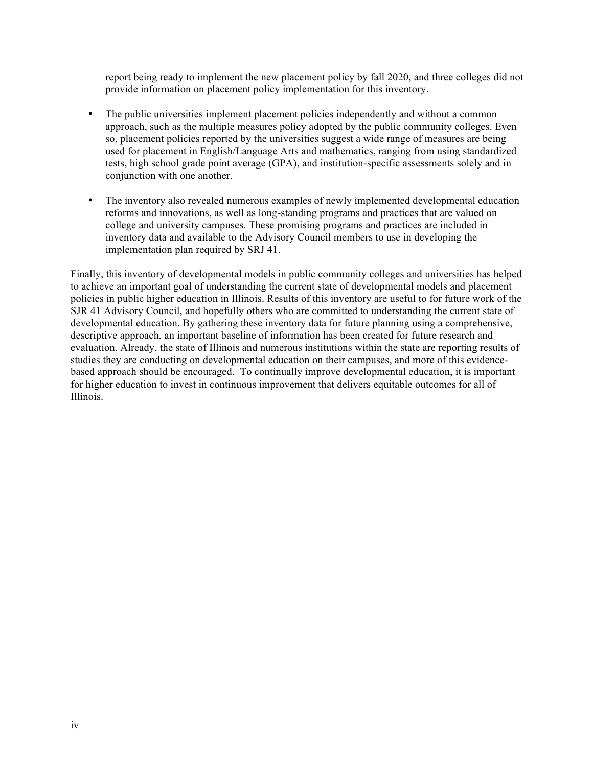report being ready to implement the new placement policy by fall 2020, and three colleges did not provide information on placement policy implementation for this inventory.

- The public universities implement placement policies independently and without a common approach, such as the multiple measures policy adopted by the public community colleges. Even so, placement policies reported by the universities suggest a wide range of measures are being used for placement in English/Language Arts and mathematics, ranging from using standardized tests, high school grade point average (GPA), and institution-specific assessments solely and in conjunction with one another.
- The inventory also revealed numerous examples of newly implemented developmental education reforms and innovations, as well as long-standing programs and practices that are valued on college and university campuses. These promising programs and practices are included in inventory data and available to the Advisory Council members to use in developing the implementation plan required by SRJ 41.

Finally, this inventory of developmental models in public community colleges and universities has helped to achieve an important goal of understanding the current state of developmental models and placement policies in public higher education in Illinois. Results of this inventory are useful to for future work of the SJR 41 Advisory Council, and hopefully others who are committed to understanding the current state of developmental education. By gathering these inventory data for future planning using a comprehensive, descriptive approach, an important baseline of information has been created for future research and evaluation. Already, the state of Illinois and numerous institutions within the state are reporting results of studies they are conducting on developmental education on their campuses, and more of this evidencebased approach should be encouraged. To continually improve developmental education, it is important for higher education to invest in continuous improvement that delivers equitable outcomes for all of Illinois.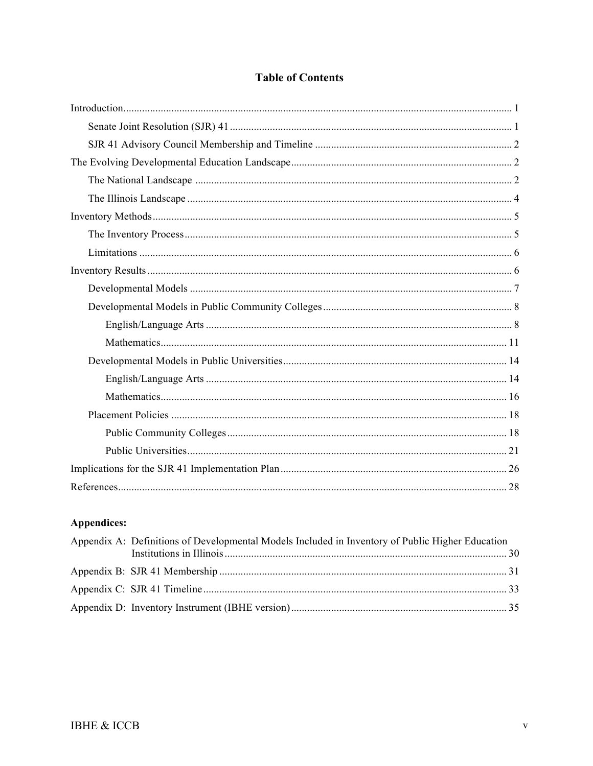# **Table of Contents**

# Appendices:

| Appendix A: Definitions of Developmental Models Included in Inventory of Public Higher Education |  |  |  |  |  |
|--------------------------------------------------------------------------------------------------|--|--|--|--|--|
|                                                                                                  |  |  |  |  |  |
|                                                                                                  |  |  |  |  |  |
|                                                                                                  |  |  |  |  |  |
|                                                                                                  |  |  |  |  |  |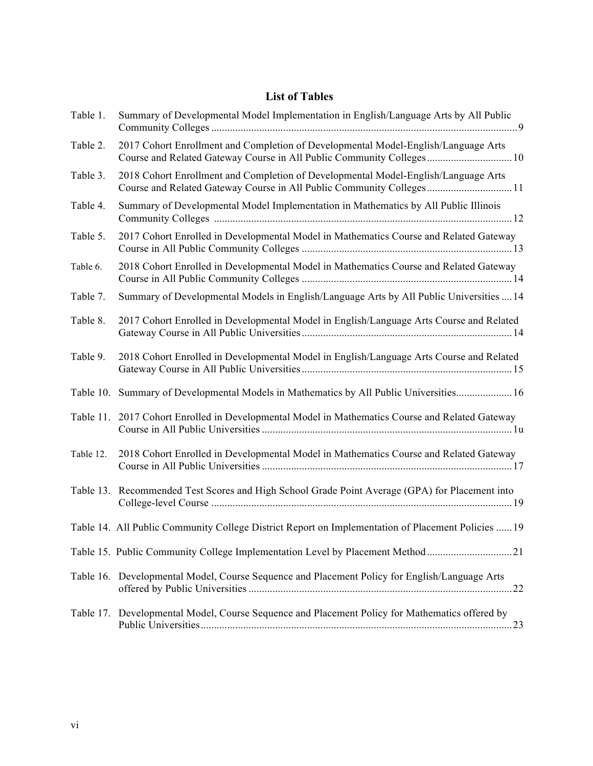## **List of Tables**

| Table 1.  | Summary of Developmental Model Implementation in English/Language Arts by All Public                                                                        |
|-----------|-------------------------------------------------------------------------------------------------------------------------------------------------------------|
| Table 2.  | 2017 Cohort Enrollment and Completion of Developmental Model-English/Language Arts<br>Course and Related Gateway Course in All Public Community Colleges 10 |
| Table 3.  | 2018 Cohort Enrollment and Completion of Developmental Model-English/Language Arts                                                                          |
| Table 4.  | Summary of Developmental Model Implementation in Mathematics by All Public Illinois                                                                         |
| Table 5.  | 2017 Cohort Enrolled in Developmental Model in Mathematics Course and Related Gateway                                                                       |
| Table 6.  | 2018 Cohort Enrolled in Developmental Model in Mathematics Course and Related Gateway                                                                       |
| Table 7.  | Summary of Developmental Models in English/Language Arts by All Public Universities  14                                                                     |
| Table 8.  | 2017 Cohort Enrolled in Developmental Model in English/Language Arts Course and Related                                                                     |
| Table 9.  | 2018 Cohort Enrolled in Developmental Model in English/Language Arts Course and Related                                                                     |
| Table 10. | Summary of Developmental Models in Mathematics by All Public Universities 16                                                                                |
| Table 11. | 2017 Cohort Enrolled in Developmental Model in Mathematics Course and Related Gateway                                                                       |
| Table 12. | 2018 Cohort Enrolled in Developmental Model in Mathematics Course and Related Gateway                                                                       |
|           | Table 13. Recommended Test Scores and High School Grade Point Average (GPA) for Placement into                                                              |
|           | Table 14. All Public Community College District Report on Implementation of Placement Policies  19                                                          |
|           | Table 15. Public Community College Implementation Level by Placement Method21                                                                               |
|           | Table 16. Developmental Model, Course Sequence and Placement Policy for English/Language Arts                                                               |
|           | Table 17. Developmental Model, Course Sequence and Placement Policy for Mathematics offered by                                                              |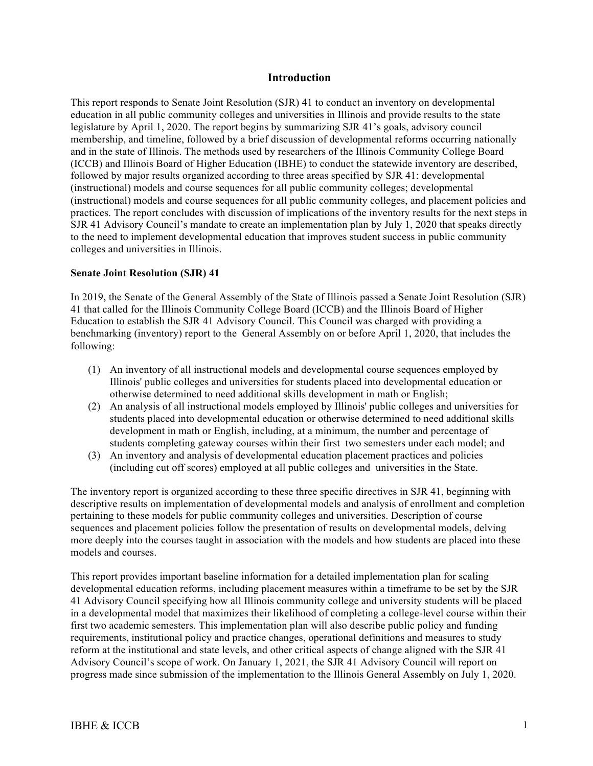#### **Introduction**

This report responds to Senate Joint Resolution (SJR) 41 to conduct an inventory on developmental education in all public community colleges and universities in Illinois and provide results to the state legislature by April 1, 2020. The report begins by summarizing SJR 41's goals, advisory council membership, and timeline, followed by a brief discussion of developmental reforms occurring nationally and in the state of Illinois. The methods used by researchers of the Illinois Community College Board (ICCB) and Illinois Board of Higher Education (IBHE) to conduct the statewide inventory are described, followed by major results organized according to three areas specified by SJR 41: developmental (instructional) models and course sequences for all public community colleges; developmental (instructional) models and course sequences for all public community colleges, and placement policies and practices. The report concludes with discussion of implications of the inventory results for the next steps in SJR 41 Advisory Council's mandate to create an implementation plan by July 1, 2020 that speaks directly to the need to implement developmental education that improves student success in public community colleges and universities in Illinois.

#### **Senate Joint Resolution (SJR) 41**

In 2019, the Senate of the General Assembly of the State of Illinois passed a Senate Joint Resolution (SJR) 41 that called for the Illinois Community College Board (ICCB) and the Illinois Board of Higher Education to establish the SJR 41 Advisory Council. This Council was charged with providing a benchmarking (inventory) report to the General Assembly on or before April 1, 2020, that includes the following:

- (1) An inventory of all instructional models and developmental course sequences employed by Illinois' public colleges and universities for students placed into developmental education or otherwise determined to need additional skills development in math or English;
- (2) An analysis of all instructional models employed by Illinois' public colleges and universities for students placed into developmental education or otherwise determined to need additional skills development in math or English, including, at a minimum, the number and percentage of students completing gateway courses within their first two semesters under each model; and
- (3) An inventory and analysis of developmental education placement practices and policies (including cut off scores) employed at all public colleges and universities in the State.

The inventory report is organized according to these three specific directives in SJR 41, beginning with descriptive results on implementation of developmental models and analysis of enrollment and completion pertaining to these models for public community colleges and universities. Description of course sequences and placement policies follow the presentation of results on developmental models, delving more deeply into the courses taught in association with the models and how students are placed into these models and courses.

This report provides important baseline information for a detailed implementation plan for scaling developmental education reforms, including placement measures within a timeframe to be set by the SJR 41 Advisory Council specifying how all Illinois community college and university students will be placed in a developmental model that maximizes their likelihood of completing a college-level course within their first two academic semesters. This implementation plan will also describe public policy and funding requirements, institutional policy and practice changes, operational definitions and measures to study reform at the institutional and state levels, and other critical aspects of change aligned with the SJR 41 Advisory Council's scope of work. On January 1, 2021, the SJR 41 Advisory Council will report on progress made since submission of the implementation to the Illinois General Assembly on July 1, 2020.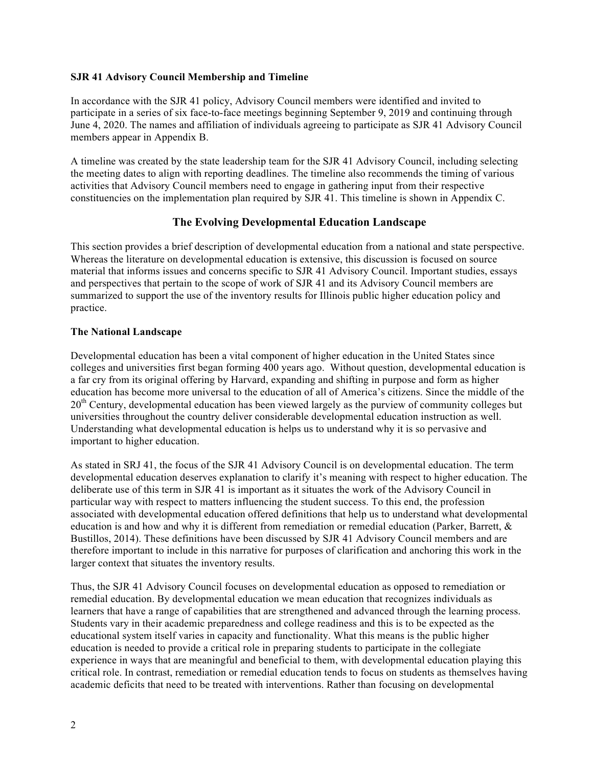#### **SJR 41 Advisory Council Membership and Timeline**

In accordance with the SJR 41 policy, Advisory Council members were identified and invited to participate in a series of six face-to-face meetings beginning September 9, 2019 and continuing through June 4, 2020. The names and affiliation of individuals agreeing to participate as SJR 41 Advisory Council members appear in Appendix B.

A timeline was created by the state leadership team for the SJR 41 Advisory Council, including selecting the meeting dates to align with reporting deadlines. The timeline also recommends the timing of various activities that Advisory Council members need to engage in gathering input from their respective constituencies on the implementation plan required by SJR 41. This timeline is shown in Appendix C.

## **The Evolving Developmental Education Landscape**

This section provides a brief description of developmental education from a national and state perspective. Whereas the literature on developmental education is extensive, this discussion is focused on source material that informs issues and concerns specific to SJR 41 Advisory Council. Important studies, essays and perspectives that pertain to the scope of work of SJR 41 and its Advisory Council members are summarized to support the use of the inventory results for Illinois public higher education policy and practice.

#### **The National Landscape**

Developmental education has been a vital component of higher education in the United States since colleges and universities first began forming 400 years ago. Without question, developmental education is a far cry from its original offering by Harvard, expanding and shifting in purpose and form as higher education has become more universal to the education of all of America's citizens. Since the middle of the 20<sup>th</sup> Century, developmental education has been viewed largely as the purview of community colleges but universities throughout the country deliver considerable developmental education instruction as well. Understanding what developmental education is helps us to understand why it is so pervasive and important to higher education.

As stated in SRJ 41, the focus of the SJR 41 Advisory Council is on developmental education. The term developmental education deserves explanation to clarify it's meaning with respect to higher education. The deliberate use of this term in SJR 41 is important as it situates the work of the Advisory Council in particular way with respect to matters influencing the student success. To this end, the profession associated with developmental education offered definitions that help us to understand what developmental education is and how and why it is different from remediation or remedial education (Parker, Barrett, & Bustillos, 2014). These definitions have been discussed by SJR 41 Advisory Council members and are therefore important to include in this narrative for purposes of clarification and anchoring this work in the larger context that situates the inventory results.

Thus, the SJR 41 Advisory Council focuses on developmental education as opposed to remediation or remedial education. By developmental education we mean education that recognizes individuals as learners that have a range of capabilities that are strengthened and advanced through the learning process. Students vary in their academic preparedness and college readiness and this is to be expected as the educational system itself varies in capacity and functionality. What this means is the public higher education is needed to provide a critical role in preparing students to participate in the collegiate experience in ways that are meaningful and beneficial to them, with developmental education playing this critical role. In contrast, remediation or remedial education tends to focus on students as themselves having academic deficits that need to be treated with interventions. Rather than focusing on developmental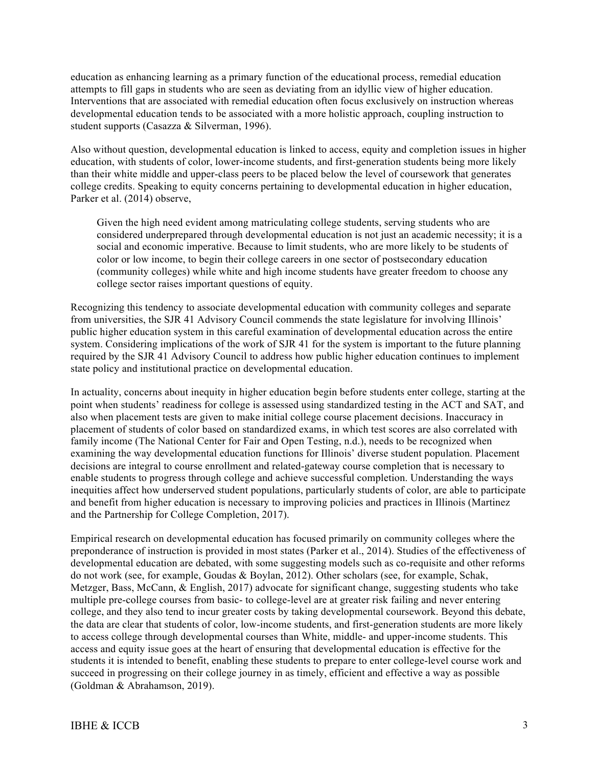education as enhancing learning as a primary function of the educational process, remedial education attempts to fill gaps in students who are seen as deviating from an idyllic view of higher education. Interventions that are associated with remedial education often focus exclusively on instruction whereas developmental education tends to be associated with a more holistic approach, coupling instruction to student supports (Casazza & Silverman, 1996).

Also without question, developmental education is linked to access, equity and completion issues in higher education, with students of color, lower-income students, and first-generation students being more likely than their white middle and upper-class peers to be placed below the level of coursework that generates college credits. Speaking to equity concerns pertaining to developmental education in higher education, Parker et al. (2014) observe,

Given the high need evident among matriculating college students, serving students who are considered underprepared through developmental education is not just an academic necessity; it is a social and economic imperative. Because to limit students, who are more likely to be students of color or low income, to begin their college careers in one sector of postsecondary education (community colleges) while white and high income students have greater freedom to choose any college sector raises important questions of equity.

Recognizing this tendency to associate developmental education with community colleges and separate from universities, the SJR 41 Advisory Council commends the state legislature for involving Illinois' public higher education system in this careful examination of developmental education across the entire system. Considering implications of the work of SJR 41 for the system is important to the future planning required by the SJR 41 Advisory Council to address how public higher education continues to implement state policy and institutional practice on developmental education.

In actuality, concerns about inequity in higher education begin before students enter college, starting at the point when students' readiness for college is assessed using standardized testing in the ACT and SAT, and also when placement tests are given to make initial college course placement decisions. Inaccuracy in placement of students of color based on standardized exams, in which test scores are also correlated with family income (The National Center for Fair and Open Testing, n.d.), needs to be recognized when examining the way developmental education functions for Illinois' diverse student population. Placement decisions are integral to course enrollment and related-gateway course completion that is necessary to enable students to progress through college and achieve successful completion. Understanding the ways inequities affect how underserved student populations, particularly students of color, are able to participate and benefit from higher education is necessary to improving policies and practices in Illinois (Martinez and the Partnership for College Completion, 2017).

Empirical research on developmental education has focused primarily on community colleges where the preponderance of instruction is provided in most states (Parker et al., 2014). Studies of the effectiveness of developmental education are debated, with some suggesting models such as co-requisite and other reforms do not work (see, for example, Goudas & Boylan, 2012). Other scholars (see, for example, Schak, Metzger, Bass, McCann, & English, 2017) advocate for significant change, suggesting students who take multiple pre-college courses from basic- to college-level are at greater risk failing and never entering college, and they also tend to incur greater costs by taking developmental coursework. Beyond this debate, the data are clear that students of color, low-income students, and first-generation students are more likely to access college through developmental courses than White, middle- and upper-income students. This access and equity issue goes at the heart of ensuring that developmental education is effective for the students it is intended to benefit, enabling these students to prepare to enter college-level course work and succeed in progressing on their college journey in as timely, efficient and effective a way as possible (Goldman & Abrahamson, 2019).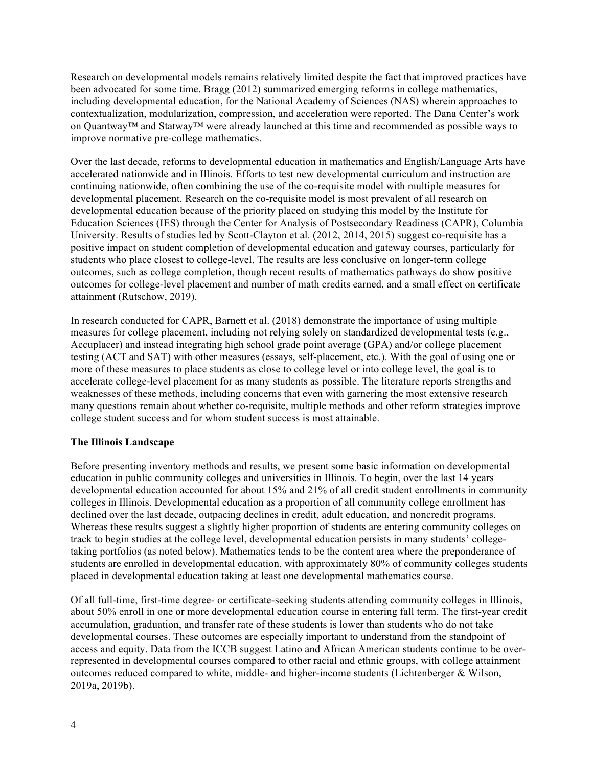Research on developmental models remains relatively limited despite the fact that improved practices have been advocated for some time. Bragg (2012) summarized emerging reforms in college mathematics, including developmental education, for the National Academy of Sciences (NAS) wherein approaches to contextualization, modularization, compression, and acceleration were reported. The Dana Center's work on Quantway™ and Statway™ were already launched at this time and recommended as possible ways to improve normative pre-college mathematics.

Over the last decade, reforms to developmental education in mathematics and English/Language Arts have accelerated nationwide and in Illinois. Efforts to test new developmental curriculum and instruction are continuing nationwide, often combining the use of the co-requisite model with multiple measures for developmental placement. Research on the co-requisite model is most prevalent of all research on developmental education because of the priority placed on studying this model by the Institute for Education Sciences (IES) through the Center for Analysis of Postsecondary Readiness (CAPR), Columbia University. Results of studies led by Scott-Clayton et al. (2012, 2014, 2015) suggest co-requisite has a positive impact on student completion of developmental education and gateway courses, particularly for students who place closest to college-level. The results are less conclusive on longer-term college outcomes, such as college completion, though recent results of mathematics pathways do show positive outcomes for college-level placement and number of math credits earned, and a small effect on certificate attainment (Rutschow, 2019).

In research conducted for CAPR, Barnett et al. (2018) demonstrate the importance of using multiple measures for college placement, including not relying solely on standardized developmental tests (e.g., Accuplacer) and instead integrating high school grade point average (GPA) and/or college placement testing (ACT and SAT) with other measures (essays, self-placement, etc.). With the goal of using one or more of these measures to place students as close to college level or into college level, the goal is to accelerate college-level placement for as many students as possible. The literature reports strengths and weaknesses of these methods, including concerns that even with garnering the most extensive research many questions remain about whether co-requisite, multiple methods and other reform strategies improve college student success and for whom student success is most attainable.

#### **The Illinois Landscape**

Before presenting inventory methods and results, we present some basic information on developmental education in public community colleges and universities in Illinois. To begin, over the last 14 years developmental education accounted for about 15% and 21% of all credit student enrollments in community colleges in Illinois. Developmental education as a proportion of all community college enrollment has declined over the last decade, outpacing declines in credit, adult education, and noncredit programs. Whereas these results suggest a slightly higher proportion of students are entering community colleges on track to begin studies at the college level, developmental education persists in many students' collegetaking portfolios (as noted below). Mathematics tends to be the content area where the preponderance of students are enrolled in developmental education, with approximately 80% of community colleges students placed in developmental education taking at least one developmental mathematics course.

Of all full-time, first-time degree- or certificate-seeking students attending community colleges in Illinois, about 50% enroll in one or more developmental education course in entering fall term. The first-year credit accumulation, graduation, and transfer rate of these students is lower than students who do not take developmental courses. These outcomes are especially important to understand from the standpoint of access and equity. Data from the ICCB suggest Latino and African American students continue to be overrepresented in developmental courses compared to other racial and ethnic groups, with college attainment outcomes reduced compared to white, middle- and higher-income students (Lichtenberger & Wilson, 2019a, 2019b).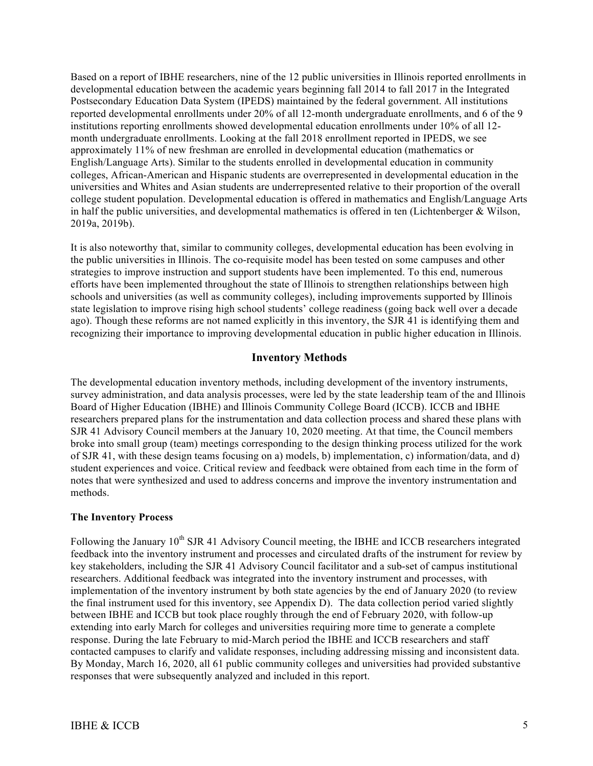Based on a report of IBHE researchers, nine of the 12 public universities in Illinois reported enrollments in developmental education between the academic years beginning fall 2014 to fall 2017 in the Integrated Postsecondary Education Data System (IPEDS) maintained by the federal government. All institutions reported developmental enrollments under 20% of all 12-month undergraduate enrollments, and 6 of the 9 institutions reporting enrollments showed developmental education enrollments under 10% of all 12 month undergraduate enrollments. Looking at the fall 2018 enrollment reported in IPEDS, we see approximately 11% of new freshman are enrolled in developmental education (mathematics or English/Language Arts). Similar to the students enrolled in developmental education in community colleges, African-American and Hispanic students are overrepresented in developmental education in the universities and Whites and Asian students are underrepresented relative to their proportion of the overall college student population. Developmental education is offered in mathematics and English/Language Arts in half the public universities, and developmental mathematics is offered in ten (Lichtenberger  $\&$  Wilson, 2019a, 2019b).

It is also noteworthy that, similar to community colleges, developmental education has been evolving in the public universities in Illinois. The co-requisite model has been tested on some campuses and other strategies to improve instruction and support students have been implemented. To this end, numerous efforts have been implemented throughout the state of Illinois to strengthen relationships between high schools and universities (as well as community colleges), including improvements supported by Illinois state legislation to improve rising high school students' college readiness (going back well over a decade ago). Though these reforms are not named explicitly in this inventory, the SJR 41 is identifying them and recognizing their importance to improving developmental education in public higher education in Illinois.

#### **Inventory Methods**

The developmental education inventory methods, including development of the inventory instruments, survey administration, and data analysis processes, were led by the state leadership team of the and Illinois Board of Higher Education (IBHE) and Illinois Community College Board (ICCB). ICCB and IBHE researchers prepared plans for the instrumentation and data collection process and shared these plans with SJR 41 Advisory Council members at the January 10, 2020 meeting. At that time, the Council members broke into small group (team) meetings corresponding to the design thinking process utilized for the work of SJR 41, with these design teams focusing on a) models, b) implementation, c) information/data, and d) student experiences and voice. Critical review and feedback were obtained from each time in the form of notes that were synthesized and used to address concerns and improve the inventory instrumentation and methods.

#### **The Inventory Process**

Following the January 10<sup>th</sup> SJR 41 Advisory Council meeting, the IBHE and ICCB researchers integrated feedback into the inventory instrument and processes and circulated drafts of the instrument for review by key stakeholders, including the SJR 41 Advisory Council facilitator and a sub-set of campus institutional researchers. Additional feedback was integrated into the inventory instrument and processes, with implementation of the inventory instrument by both state agencies by the end of January 2020 (to review the final instrument used for this inventory, see Appendix D). The data collection period varied slightly between IBHE and ICCB but took place roughly through the end of February 2020, with follow-up extending into early March for colleges and universities requiring more time to generate a complete response. During the late February to mid-March period the IBHE and ICCB researchers and staff contacted campuses to clarify and validate responses, including addressing missing and inconsistent data. By Monday, March 16, 2020, all 61 public community colleges and universities had provided substantive responses that were subsequently analyzed and included in this report.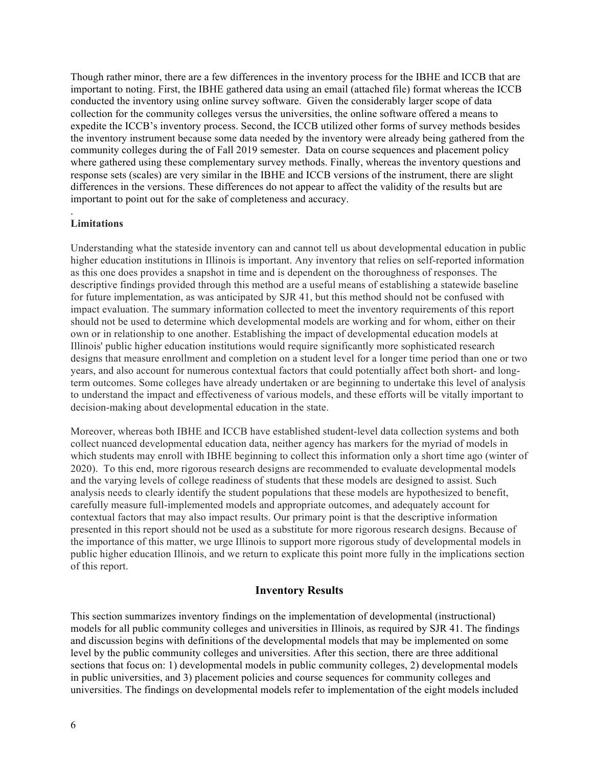Though rather minor, there are a few differences in the inventory process for the IBHE and ICCB that are important to noting. First, the IBHE gathered data using an email (attached file) format whereas the ICCB conducted the inventory using online survey software. Given the considerably larger scope of data collection for the community colleges versus the universities, the online software offered a means to expedite the ICCB's inventory process. Second, the ICCB utilized other forms of survey methods besides the inventory instrument because some data needed by the inventory were already being gathered from the community colleges during the of Fall 2019 semester. Data on course sequences and placement policy where gathered using these complementary survey methods. Finally, whereas the inventory questions and response sets (scales) are very similar in the IBHE and ICCB versions of the instrument, there are slight differences in the versions. These differences do not appear to affect the validity of the results but are important to point out for the sake of completeness and accuracy.

#### . **Limitations**

Understanding what the stateside inventory can and cannot tell us about developmental education in public higher education institutions in Illinois is important. Any inventory that relies on self-reported information as this one does provides a snapshot in time and is dependent on the thoroughness of responses. The descriptive findings provided through this method are a useful means of establishing a statewide baseline for future implementation, as was anticipated by SJR 41, but this method should not be confused with impact evaluation. The summary information collected to meet the inventory requirements of this report should not be used to determine which developmental models are working and for whom, either on their own or in relationship to one another. Establishing the impact of developmental education models at Illinois' public higher education institutions would require significantly more sophisticated research designs that measure enrollment and completion on a student level for a longer time period than one or two years, and also account for numerous contextual factors that could potentially affect both short- and longterm outcomes. Some colleges have already undertaken or are beginning to undertake this level of analysis to understand the impact and effectiveness of various models, and these efforts will be vitally important to decision-making about developmental education in the state.

Moreover, whereas both IBHE and ICCB have established student-level data collection systems and both collect nuanced developmental education data, neither agency has markers for the myriad of models in which students may enroll with IBHE beginning to collect this information only a short time ago (winter of 2020). To this end, more rigorous research designs are recommended to evaluate developmental models and the varying levels of college readiness of students that these models are designed to assist. Such analysis needs to clearly identify the student populations that these models are hypothesized to benefit, carefully measure full-implemented models and appropriate outcomes, and adequately account for contextual factors that may also impact results. Our primary point is that the descriptive information presented in this report should not be used as a substitute for more rigorous research designs. Because of the importance of this matter, we urge Illinois to support more rigorous study of developmental models in public higher education Illinois, and we return to explicate this point more fully in the implications section of this report.

## **Inventory Results**

This section summarizes inventory findings on the implementation of developmental (instructional) models for all public community colleges and universities in Illinois, as required by SJR 41. The findings and discussion begins with definitions of the developmental models that may be implemented on some level by the public community colleges and universities. After this section, there are three additional sections that focus on: 1) developmental models in public community colleges, 2) developmental models in public universities, and 3) placement policies and course sequences for community colleges and universities. The findings on developmental models refer to implementation of the eight models included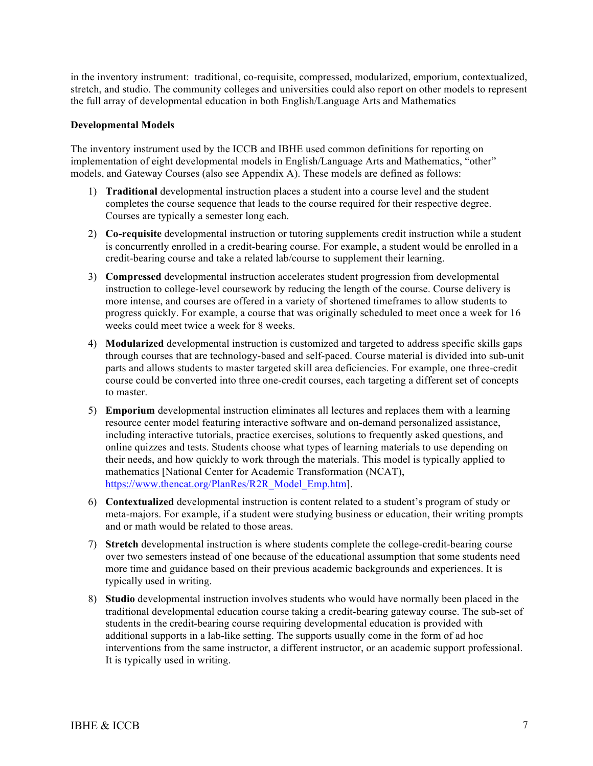in the inventory instrument: traditional, co-requisite, compressed, modularized, emporium, contextualized, stretch, and studio. The community colleges and universities could also report on other models to represent the full array of developmental education in both English/Language Arts and Mathematics

#### **Developmental Models**

The inventory instrument used by the ICCB and IBHE used common definitions for reporting on implementation of eight developmental models in English/Language Arts and Mathematics, "other" models, and Gateway Courses (also see Appendix A). These models are defined as follows:

- 1) **Traditional** developmental instruction places a student into a course level and the student completes the course sequence that leads to the course required for their respective degree. Courses are typically a semester long each.
- 2) **Co-requisite** developmental instruction or tutoring supplements credit instruction while a student is concurrently enrolled in a credit-bearing course. For example, a student would be enrolled in a credit-bearing course and take a related lab/course to supplement their learning.
- 3) **Compressed** developmental instruction accelerates student progression from developmental instruction to college-level coursework by reducing the length of the course. Course delivery is more intense, and courses are offered in a variety of shortened timeframes to allow students to progress quickly. For example, a course that was originally scheduled to meet once a week for 16 weeks could meet twice a week for 8 weeks.
- 4) **Modularized** developmental instruction is customized and targeted to address specific skills gaps through courses that are technology-based and self-paced. Course material is divided into sub-unit parts and allows students to master targeted skill area deficiencies. For example, one three-credit course could be converted into three one-credit courses, each targeting a different set of concepts to master.
- 5) **Emporium** developmental instruction eliminates all lectures and replaces them with a learning resource center model featuring interactive software and on-demand personalized assistance, including interactive tutorials, practice exercises, solutions to frequently asked questions, and online quizzes and tests. Students choose what types of learning materials to use depending on their needs, and how quickly to work through the materials. This model is typically applied to mathematics [National Center for Academic Transformation (NCAT), https://www.thencat.org/PlanRes/R2R\_Model\_Emp.htm].
- 6) **Contextualized** developmental instruction is content related to a student's program of study or meta-majors. For example, if a student were studying business or education, their writing prompts and or math would be related to those areas.
- 7) **Stretch** developmental instruction is where students complete the college-credit-bearing course over two semesters instead of one because of the educational assumption that some students need more time and guidance based on their previous academic backgrounds and experiences. It is typically used in writing.
- 8) **Studio** developmental instruction involves students who would have normally been placed in the traditional developmental education course taking a credit-bearing gateway course. The sub-set of students in the credit-bearing course requiring developmental education is provided with additional supports in a lab-like setting. The supports usually come in the form of ad hoc interventions from the same instructor, a different instructor, or an academic support professional. It is typically used in writing.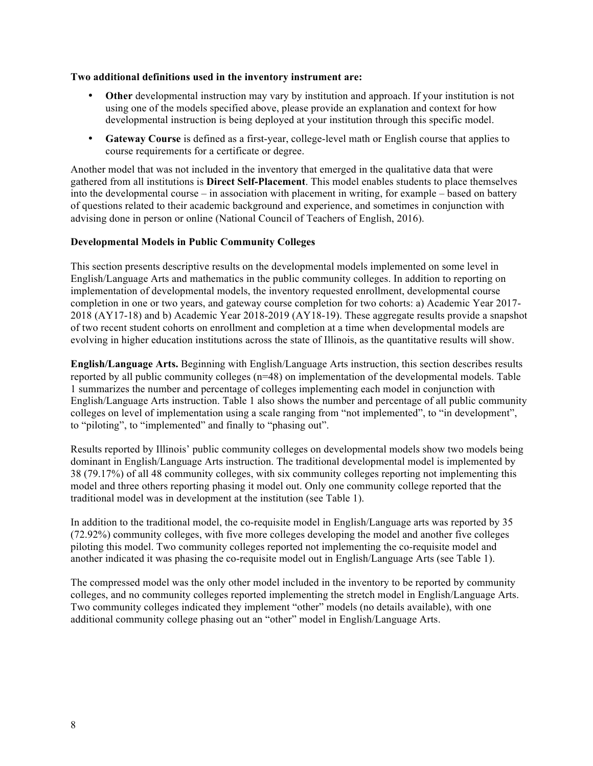#### **Two additional definitions used in the inventory instrument are:**

- **Other** developmental instruction may vary by institution and approach. If your institution is not using one of the models specified above, please provide an explanation and context for how developmental instruction is being deployed at your institution through this specific model.
- **Gateway Course** is defined as a first-year, college-level math or English course that applies to course requirements for a certificate or degree.

Another model that was not included in the inventory that emerged in the qualitative data that were gathered from all institutions is **Direct Self-Placement**. This model enables students to place themselves into the developmental course – in association with placement in writing, for example – based on battery of questions related to their academic background and experience, and sometimes in conjunction with advising done in person or online (National Council of Teachers of English, 2016).

#### **Developmental Models in Public Community Colleges**

This section presents descriptive results on the developmental models implemented on some level in English/Language Arts and mathematics in the public community colleges. In addition to reporting on implementation of developmental models, the inventory requested enrollment, developmental course completion in one or two years, and gateway course completion for two cohorts: a) Academic Year 2017- 2018 (AY17-18) and b) Academic Year 2018-2019 (AY18-19). These aggregate results provide a snapshot of two recent student cohorts on enrollment and completion at a time when developmental models are evolving in higher education institutions across the state of Illinois, as the quantitative results will show.

**English/Language Arts.** Beginning with English/Language Arts instruction, this section describes results reported by all public community colleges (n=48) on implementation of the developmental models. Table 1 summarizes the number and percentage of colleges implementing each model in conjunction with English/Language Arts instruction. Table 1 also shows the number and percentage of all public community colleges on level of implementation using a scale ranging from "not implemented", to "in development", to "piloting", to "implemented" and finally to "phasing out".

Results reported by Illinois' public community colleges on developmental models show two models being dominant in English/Language Arts instruction. The traditional developmental model is implemented by 38 (79.17%) of all 48 community colleges, with six community colleges reporting not implementing this model and three others reporting phasing it model out. Only one community college reported that the traditional model was in development at the institution (see Table 1).

In addition to the traditional model, the co-requisite model in English/Language arts was reported by 35 (72.92%) community colleges, with five more colleges developing the model and another five colleges piloting this model. Two community colleges reported not implementing the co-requisite model and another indicated it was phasing the co-requisite model out in English/Language Arts (see Table 1).

The compressed model was the only other model included in the inventory to be reported by community colleges, and no community colleges reported implementing the stretch model in English/Language Arts. Two community colleges indicated they implement "other" models (no details available), with one additional community college phasing out an "other" model in English/Language Arts.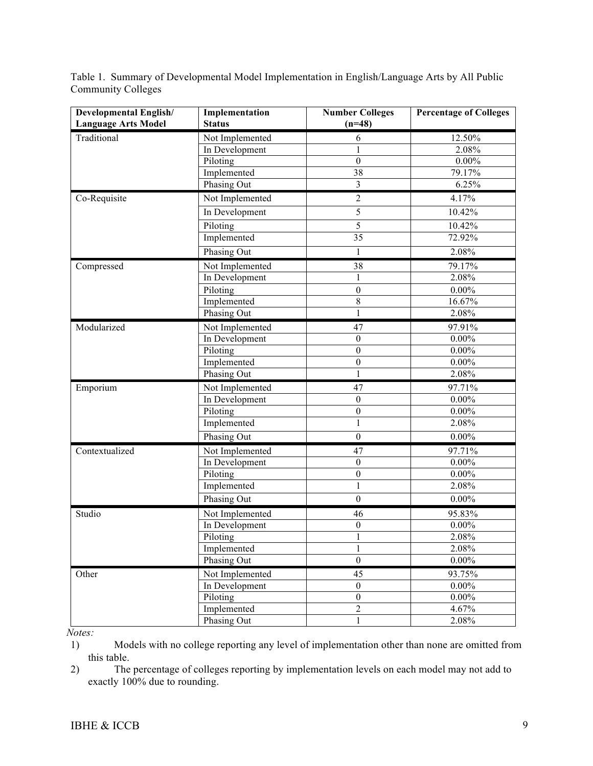Table 1. Summary of Developmental Model Implementation in English/Language Arts by All Public Community Colleges

| <b>Developmental English/</b><br><b>Language Arts Model</b> | Implementation<br><b>Status</b> | <b>Number Colleges</b><br>$(n=48)$ | <b>Percentage of Colleges</b> |
|-------------------------------------------------------------|---------------------------------|------------------------------------|-------------------------------|
| Traditional                                                 | Not Implemented                 | 6                                  | 12.50%                        |
|                                                             | In Development                  | 1                                  | 2.08%                         |
|                                                             | Piloting                        | $\boldsymbol{0}$                   | $0.00\%$                      |
|                                                             | Implemented                     | 38                                 | 79.17%                        |
|                                                             | Phasing Out                     | $\overline{3}$                     | 6.25%                         |
| Co-Requisite                                                | Not Implemented                 | $\overline{2}$                     | 4.17%                         |
|                                                             | In Development                  | 5                                  | 10.42%                        |
|                                                             | Piloting                        | 5                                  | 10.42%                        |
|                                                             | Implemented                     | 35                                 | 72.92%                        |
|                                                             | Phasing Out                     | 1                                  | 2.08%                         |
| Compressed                                                  | Not Implemented                 | 38                                 | 79.17%                        |
|                                                             | In Development                  | $\mathbf{1}$                       | 2.08%                         |
|                                                             | Piloting                        | $\boldsymbol{0}$                   | $0.00\%$                      |
|                                                             | Implemented                     | 8                                  | 16.67%                        |
|                                                             | <b>Phasing Out</b>              | $\mathbf{1}$                       | 2.08%                         |
| Modularized                                                 | Not Implemented                 | 47                                 | 97.91%                        |
|                                                             | In Development                  | $\boldsymbol{0}$                   | $0.00\%$                      |
|                                                             | Piloting                        | $\boldsymbol{0}$                   | $0.00\%$                      |
|                                                             | Implemented                     | $\boldsymbol{0}$                   | $0.00\%$                      |
|                                                             | Phasing Out                     | $\mathbf{1}$                       | 2.08%                         |
| Emporium                                                    | Not Implemented                 | 47                                 | 97.71%                        |
|                                                             | In Development                  | $\boldsymbol{0}$                   | $0.00\%$                      |
|                                                             | Piloting                        | $\boldsymbol{0}$                   | $0.00\%$                      |
|                                                             | Implemented                     | $\mathbf{1}$                       | 2.08%                         |
|                                                             | Phasing Out                     | $\boldsymbol{0}$                   | $0.00\%$                      |
| Contextualized                                              | Not Implemented                 | 47                                 | 97.71%                        |
|                                                             | In Development                  | $\boldsymbol{0}$                   | $0.00\%$                      |
|                                                             | Piloting                        | $\boldsymbol{0}$                   | $0.00\%$                      |
|                                                             | Implemented                     | $\mathbf 1$                        | 2.08%                         |
|                                                             | Phasing Out                     | $\boldsymbol{0}$                   | $0.00\%$                      |
| Studio                                                      | Not Implemented                 | 46                                 | 95.83%                        |
|                                                             | In Development                  | $\boldsymbol{0}$                   | $0.00\%$                      |
|                                                             | Piloting                        | 1                                  | 2.08%                         |
|                                                             | Implemented                     | 1                                  | 2.08%                         |
|                                                             | Phasing Out                     | $\boldsymbol{0}$                   | $0.00\%$                      |
| Other                                                       | Not Implemented                 | 45                                 | 93.75%                        |
|                                                             | In Development                  | $\boldsymbol{0}$                   | $0.00\%$                      |
|                                                             | Piloting                        | $\boldsymbol{0}$                   | $0.00\%$                      |
|                                                             | Implemented                     | $\overline{2}$                     | 4.67%                         |
|                                                             | Phasing Out                     | $\mathbf{1}$                       | 2.08%                         |

*Notes:*

1) Models with no college reporting any level of implementation other than none are omitted from this table.

2) The percentage of colleges reporting by implementation levels on each model may not add to exactly 100% due to rounding.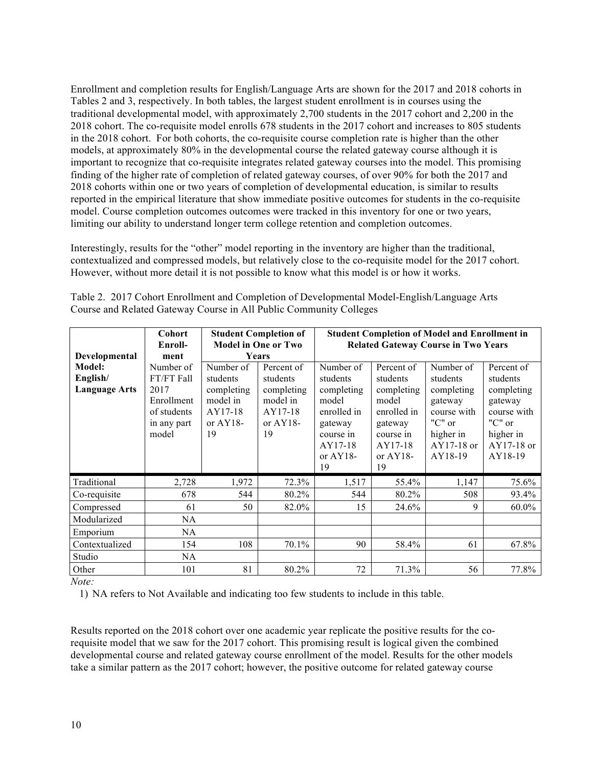Enrollment and completion results for English/Language Arts are shown for the 2017 and 2018 cohorts in Tables 2 and 3, respectively. In both tables, the largest student enrollment is in courses using the traditional developmental model, with approximately 2,700 students in the 2017 cohort and 2,200 in the 2018 cohort. The co-requisite model enrolls 678 students in the 2017 cohort and increases to 805 students in the 2018 cohort. For both cohorts, the co-requisite course completion rate is higher than the other models, at approximately 80% in the developmental course the related gateway course although it is important to recognize that co-requisite integrates related gateway courses into the model. This promising finding of the higher rate of completion of related gateway courses, of over 90% for both the 2017 and 2018 cohorts within one or two years of completion of developmental education, is similar to results reported in the empirical literature that show immediate positive outcomes for students in the co-requisite model. Course completion outcomes outcomes were tracked in this inventory for one or two years, limiting our ability to understand longer term college retention and completion outcomes.

Interestingly, results for the "other" model reporting in the inventory are higher than the traditional, contextualized and compressed models, but relatively close to the co-requisite model for the 2017 cohort. However, without more detail it is not possible to know what this model is or how it works.

|                                            | Cohort<br>Enroll-                                                                    |                                                                                 | <b>Student Completion of</b><br><b>Model in One or Two</b>                       | <b>Student Completion of Model and Enrollment in</b><br><b>Related Gateway Course in Two Years</b>                  |                                                                                                                      |                                                                                                               |                                                                                                                    |  |
|--------------------------------------------|--------------------------------------------------------------------------------------|---------------------------------------------------------------------------------|----------------------------------------------------------------------------------|---------------------------------------------------------------------------------------------------------------------|----------------------------------------------------------------------------------------------------------------------|---------------------------------------------------------------------------------------------------------------|--------------------------------------------------------------------------------------------------------------------|--|
| Developmental                              | ment                                                                                 |                                                                                 | Years                                                                            |                                                                                                                     |                                                                                                                      |                                                                                                               |                                                                                                                    |  |
| Model:<br>English/<br><b>Language Arts</b> | Number of<br>FT/FT Fall<br>2017<br>Enrollment<br>of students<br>in any part<br>model | Number of<br>students<br>completing<br>model in<br>AY17-18<br>or $AY18$ -<br>19 | Percent of<br>students<br>completing<br>model in<br>AY17-18<br>or $AY18$ -<br>19 | Number of<br>students<br>completing<br>model<br>enrolled in<br>gateway<br>course in<br>AY17-18<br>or $AY18$ -<br>19 | Percent of<br>students<br>completing<br>model<br>enrolled in<br>gateway<br>course in<br>AY17-18<br>or $AY18$ -<br>19 | Number of<br>students<br>completing<br>gateway<br>course with<br>"C" or<br>higher in<br>AY17-18 or<br>AY18-19 | Percent of<br>students<br>completing<br>gateway<br>course with<br>" $C$ " or<br>higher in<br>AY17-18 or<br>AY18-19 |  |
| Traditional                                | 2,728                                                                                | 1,972                                                                           | 72.3%                                                                            | 1,517                                                                                                               | 55.4%                                                                                                                | 1,147                                                                                                         | 75.6%                                                                                                              |  |
| Co-requisite                               | 678                                                                                  | 544                                                                             | 80.2%                                                                            | 544                                                                                                                 | 80.2%                                                                                                                | 508                                                                                                           | 93.4%                                                                                                              |  |
| Compressed                                 | 61                                                                                   | 50                                                                              | 82.0%                                                                            | 15                                                                                                                  | 24.6%                                                                                                                | 9                                                                                                             | 60.0%                                                                                                              |  |
| Modularized                                | <b>NA</b>                                                                            |                                                                                 |                                                                                  |                                                                                                                     |                                                                                                                      |                                                                                                               |                                                                                                                    |  |
| Emporium                                   | <b>NA</b>                                                                            |                                                                                 |                                                                                  |                                                                                                                     |                                                                                                                      |                                                                                                               |                                                                                                                    |  |
| Contextualized                             | 154                                                                                  | 108                                                                             | 70.1%                                                                            | 90                                                                                                                  | 58.4%                                                                                                                | 61                                                                                                            | 67.8%                                                                                                              |  |
| Studio                                     | NA                                                                                   |                                                                                 |                                                                                  |                                                                                                                     |                                                                                                                      |                                                                                                               |                                                                                                                    |  |
| Other                                      | 101                                                                                  | 81                                                                              | 80.2%                                                                            | 72                                                                                                                  | 71.3%                                                                                                                | 56                                                                                                            | 77.8%                                                                                                              |  |

Table 2. 2017 Cohort Enrollment and Completion of Developmental Model-English/Language Arts Course and Related Gateway Course in All Public Community Colleges

*Note:* 

1) NA refers to Not Available and indicating too few students to include in this table.

Results reported on the 2018 cohort over one academic year replicate the positive results for the corequisite model that we saw for the 2017 cohort. This promising result is logical given the combined developmental course and related gateway course enrollment of the model. Results for the other models take a similar pattern as the 2017 cohort; however, the positive outcome for related gateway course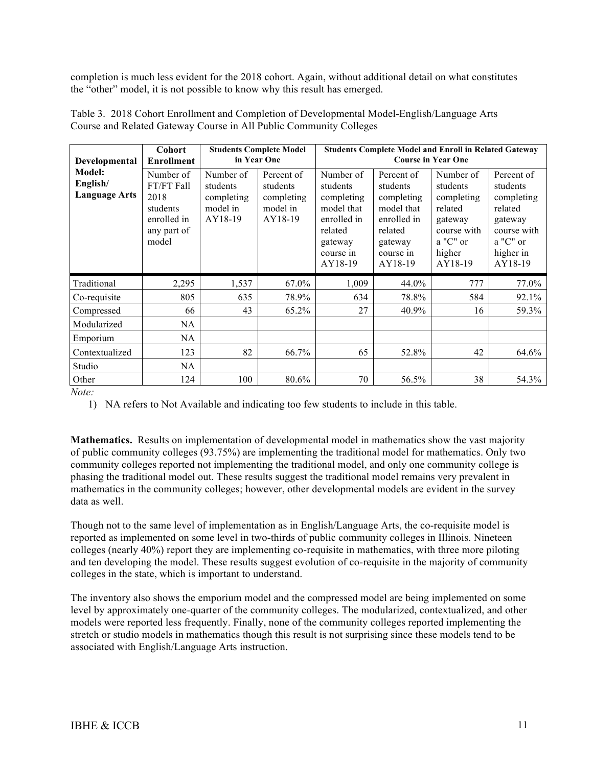completion is much less evident for the 2018 cohort. Again, without additional detail on what constitutes the "other" model, it is not possible to know why this result has emerged.

| Developmental                              | <b>Cohort</b><br><b>Enrollment</b>                                                 |                                                            | <b>Students Complete Model</b><br>in Year One               | <b>Students Complete Model and Enroll in Related Gateway</b><br><b>Course in Year One</b>                      |                                                                                                                 |                                                                                                           |                                                                                                               |
|--------------------------------------------|------------------------------------------------------------------------------------|------------------------------------------------------------|-------------------------------------------------------------|----------------------------------------------------------------------------------------------------------------|-----------------------------------------------------------------------------------------------------------------|-----------------------------------------------------------------------------------------------------------|---------------------------------------------------------------------------------------------------------------|
| Model:<br>English/<br><b>Language Arts</b> | Number of<br>FT/FT Fall<br>2018<br>students<br>enrolled in<br>any part of<br>model | Number of<br>students<br>completing<br>model in<br>AY18-19 | Percent of<br>students<br>completing<br>model in<br>AY18-19 | Number of<br>students<br>completing<br>model that<br>enrolled in<br>related<br>gateway<br>course in<br>AY18-19 | Percent of<br>students<br>completing<br>model that<br>enrolled in<br>related<br>gateway<br>course in<br>AY18-19 | Number of<br>students<br>completing<br>related<br>gateway<br>course with<br>a "C" or<br>higher<br>AY18-19 | Percent of<br>students<br>completing<br>related<br>gateway<br>course with<br>a "C" or<br>higher in<br>AY18-19 |
| Traditional                                | 2,295                                                                              | 1,537                                                      | 67.0%                                                       | 1,009                                                                                                          | 44.0%                                                                                                           | 777                                                                                                       | 77.0%                                                                                                         |
| Co-requisite                               | 805                                                                                | 635                                                        | 78.9%                                                       | 634                                                                                                            | 78.8%                                                                                                           | 584                                                                                                       | 92.1%                                                                                                         |
| Compressed                                 | 66                                                                                 | 43                                                         | 65.2%                                                       | 27                                                                                                             | 40.9%                                                                                                           | 16                                                                                                        | 59.3%                                                                                                         |
| Modularized                                | NA.                                                                                |                                                            |                                                             |                                                                                                                |                                                                                                                 |                                                                                                           |                                                                                                               |
| Emporium                                   | NA                                                                                 |                                                            |                                                             |                                                                                                                |                                                                                                                 |                                                                                                           |                                                                                                               |
| Contextualized                             | 123                                                                                | 82                                                         | 66.7%                                                       | 65                                                                                                             | 52.8%                                                                                                           | 42                                                                                                        | 64.6%                                                                                                         |
| Studio                                     | <b>NA</b>                                                                          |                                                            |                                                             |                                                                                                                |                                                                                                                 |                                                                                                           |                                                                                                               |
| Other                                      | 124                                                                                | 100                                                        | 80.6%                                                       | 70                                                                                                             | 56.5%                                                                                                           | 38                                                                                                        | 54.3%                                                                                                         |

Table 3. 2018 Cohort Enrollment and Completion of Developmental Model-English/Language Arts Course and Related Gateway Course in All Public Community Colleges

*Note:* 

1) NA refers to Not Available and indicating too few students to include in this table.

**Mathematics.** Results on implementation of developmental model in mathematics show the vast majority of public community colleges (93.75%) are implementing the traditional model for mathematics. Only two community colleges reported not implementing the traditional model, and only one community college is phasing the traditional model out. These results suggest the traditional model remains very prevalent in mathematics in the community colleges; however, other developmental models are evident in the survey data as well.

Though not to the same level of implementation as in English/Language Arts, the co-requisite model is reported as implemented on some level in two-thirds of public community colleges in Illinois. Nineteen colleges (nearly 40%) report they are implementing co-requisite in mathematics, with three more piloting and ten developing the model. These results suggest evolution of co-requisite in the majority of community colleges in the state, which is important to understand.

The inventory also shows the emporium model and the compressed model are being implemented on some level by approximately one-quarter of the community colleges. The modularized, contextualized, and other models were reported less frequently. Finally, none of the community colleges reported implementing the stretch or studio models in mathematics though this result is not surprising since these models tend to be associated with English/Language Arts instruction.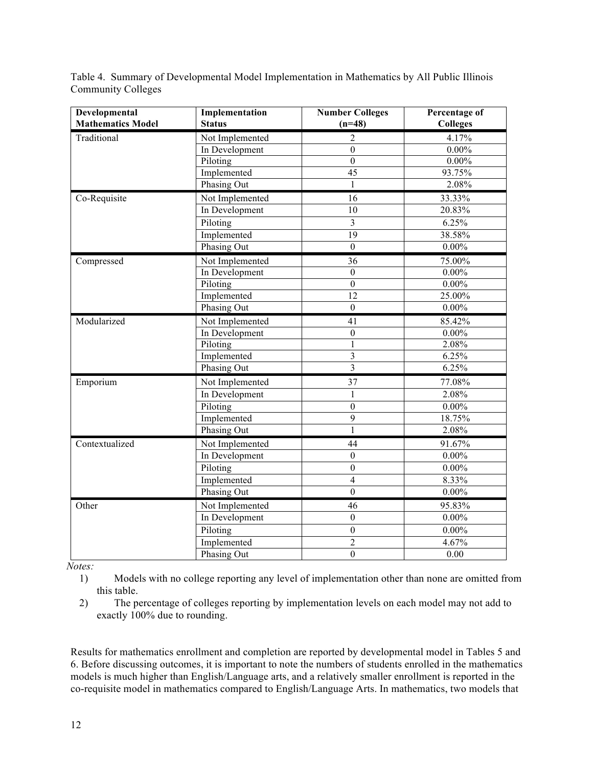Table 4. Summary of Developmental Model Implementation in Mathematics by All Public Illinois Community Colleges

| Developmental            | Implementation  | <b>Number Colleges</b>  | Percentage of   |
|--------------------------|-----------------|-------------------------|-----------------|
| <b>Mathematics Model</b> | <b>Status</b>   | $(n=48)$                | <b>Colleges</b> |
| Traditional              | Not Implemented | 2                       | 4.17%           |
|                          | In Development  | $\boldsymbol{0}$        | $0.00\%$        |
|                          | Piloting        | $\boldsymbol{0}$        | $0.00\%$        |
|                          | Implemented     | 45                      | 93.75%          |
|                          | Phasing Out     | 1                       | 2.08%           |
| Co-Requisite             | Not Implemented | 16                      | 33.33%          |
|                          | In Development  | 10                      | 20.83%          |
|                          | Piloting        | $\overline{3}$          | 6.25%           |
|                          | Implemented     | 19                      | 38.58%          |
|                          | Phasing Out     | $\boldsymbol{0}$        | $0.00\%$        |
| Compressed               | Not Implemented | 36                      | 75.00%          |
|                          | In Development  | $\boldsymbol{0}$        | $0.00\%$        |
|                          | Piloting        | $\boldsymbol{0}$        | $0.00\%$        |
|                          | Implemented     | 12                      | 25.00%          |
|                          | Phasing Out     | $\mathbf{0}$            | $0.00\%$        |
| Modularized              | Not Implemented | 41                      | 85.42%          |
|                          | In Development  | $\boldsymbol{0}$        | $0.00\%$        |
|                          | Piloting        | $\mathbf{1}$            | 2.08%           |
|                          | Implemented     | $\overline{\mathbf{3}}$ | 6.25%           |
|                          | Phasing Out     | $\overline{\mathbf{3}}$ | 6.25%           |
| Emporium                 | Not Implemented | 37                      | 77.08%          |
|                          | In Development  | $\mathbf{1}$            | 2.08%           |
|                          | Piloting        | $\boldsymbol{0}$        | $0.00\%$        |
|                          | Implemented     | 9                       | 18.75%          |
|                          | Phasing Out     | 1                       | 2.08%           |
| Contextualized           | Not Implemented | 44                      | 91.67%          |
|                          | In Development  | $\boldsymbol{0}$        | $0.00\%$        |
|                          | Piloting        | $\boldsymbol{0}$        | $0.00\%$        |
|                          | Implemented     | $\overline{4}$          | 8.33%           |
|                          | Phasing Out     | $\overline{0}$          | $0.00\%$        |
| Other                    | Not Implemented | 46                      | 95.83%          |
|                          | In Development  | $\boldsymbol{0}$        | $0.00\%$        |
|                          | Piloting        | $\boldsymbol{0}$        | $0.00\%$        |
|                          | Implemented     | $\overline{2}$          | 4.67%           |
|                          | Phasing Out     | $\mathbf{0}$            | 0.00            |

*Notes:*

1) Models with no college reporting any level of implementation other than none are omitted from this table.

2) The percentage of colleges reporting by implementation levels on each model may not add to exactly 100% due to rounding.

Results for mathematics enrollment and completion are reported by developmental model in Tables 5 and 6. Before discussing outcomes, it is important to note the numbers of students enrolled in the mathematics models is much higher than English/Language arts, and a relatively smaller enrollment is reported in the co-requisite model in mathematics compared to English/Language Arts. In mathematics, two models that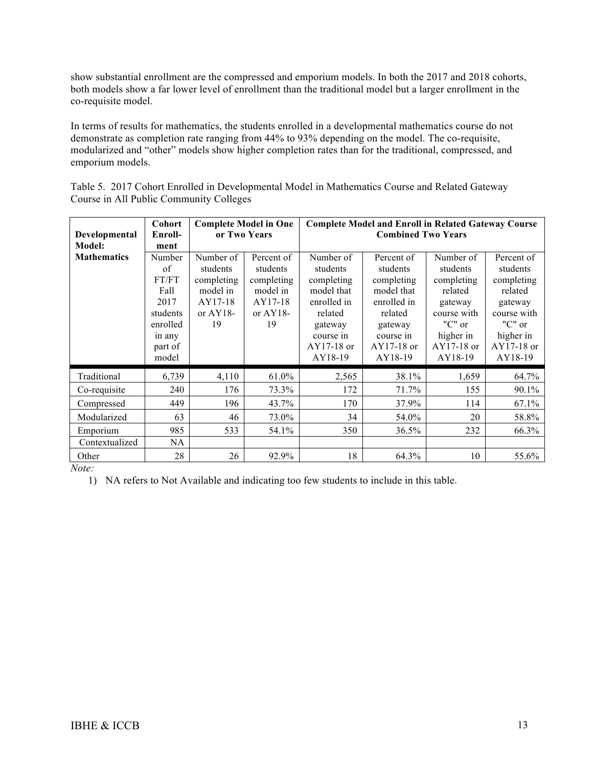show substantial enrollment are the compressed and emporium models. In both the 2017 and 2018 cohorts, both models show a far lower level of enrollment than the traditional model but a larger enrollment in the co-requisite model.

In terms of results for mathematics, the students enrolled in a developmental mathematics course do not demonstrate as completion rate ranging from 44% to 93% depending on the model. The co-requisite, modularized and "other" models show higher completion rates than for the traditional, compressed, and emporium models.

Table 5. 2017 Cohort Enrolled in Developmental Model in Mathematics Course and Related Gateway Course in All Public Community Colleges

|                    | <b>Cohort</b> |             | <b>Complete Model in One</b> | <b>Complete Model and Enroll in Related Gateway Course</b> |                           |             |             |  |
|--------------------|---------------|-------------|------------------------------|------------------------------------------------------------|---------------------------|-------------|-------------|--|
| Developmental      | Enroll-       |             | or Two Years                 |                                                            | <b>Combined Two Years</b> |             |             |  |
| Model:             | ment          |             |                              |                                                            |                           |             |             |  |
| <b>Mathematics</b> | Number        | Number of   | Percent of                   | Number of                                                  | Percent of                | Number of   | Percent of  |  |
|                    | of            | students    | students                     | students                                                   | students                  | students    | students    |  |
|                    | FT/FT         | completing  | completing                   | completing                                                 | completing                | completing  | completing  |  |
|                    | Fall          | model in    | model in                     | model that                                                 | model that                | related     | related     |  |
|                    | 2017          | AY17-18     | AY17-18                      | enrolled in                                                | enrolled in               | gateway     | gateway     |  |
|                    | students      | or $AY18$ - | or $AY18$ -                  | related                                                    | related                   | course with | course with |  |
|                    | enrolled      | 19          | 19                           | gateway                                                    | gateway                   | "C" or      | " $C$ " or  |  |
|                    | in any        |             |                              | course in                                                  | course in                 | higher in   | higher in   |  |
|                    | part of       |             |                              | $AY17-18$ or                                               | $AY17-18$ or              | AY17-18 or  | AY17-18 or  |  |
|                    | model         |             |                              | AY18-19                                                    | AY18-19                   | AY18-19     | AY18-19     |  |
| Traditional        | 6,739         | 4,110       | 61.0%                        | 2,565                                                      | 38.1%                     | 1,659       | 64.7%       |  |
| Co-requisite       | 240           | 176         | 73.3%                        | 172                                                        | 71.7%                     | 155         | 90.1%       |  |
| Compressed         | 449           | 196         | 43.7%                        | 170                                                        | 37.9%                     | 114         | 67.1%       |  |
| Modularized        | 63            | 46          | 73.0%                        | 34                                                         | 54.0%                     | 20          | 58.8%       |  |
| Emporium           | 985           | 533         | 54.1%                        | 350                                                        | 36.5%                     | 232         | 66.3%       |  |
| Contextualized     | NA            |             |                              |                                                            |                           |             |             |  |
| Other              | 28            | 26          | 92.9%                        | 18                                                         | 64.3%                     | 10          | 55.6%       |  |

*Note:* 

1) NA refers to Not Available and indicating too few students to include in this table.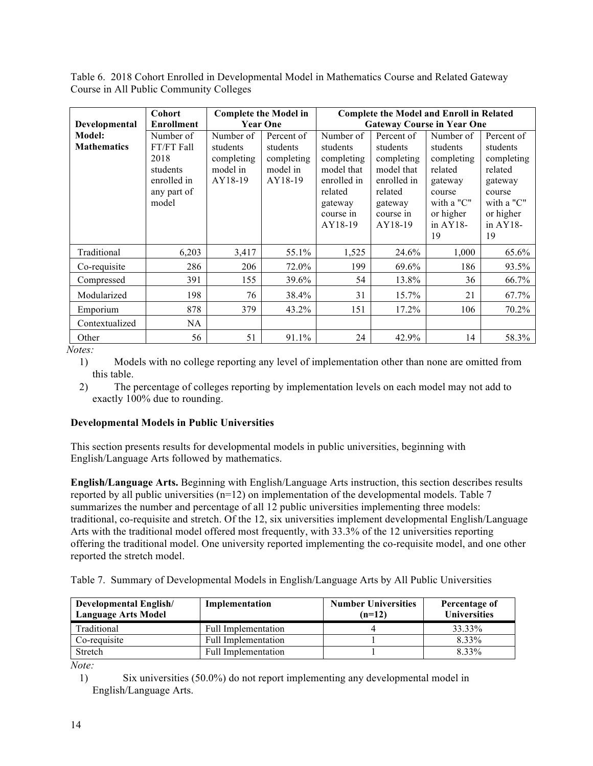Table 6. 2018 Cohort Enrolled in Developmental Model in Mathematics Course and Related Gateway Course in All Public Community Colleges

|                    | <b>Cohort</b>     | <b>Complete the Model in</b> |                 | <b>Complete the Model and Enroll in Related</b> |             |             |            |  |
|--------------------|-------------------|------------------------------|-----------------|-------------------------------------------------|-------------|-------------|------------|--|
| Developmental      | <b>Enrollment</b> |                              | <b>Year One</b> | <b>Gateway Course in Year One</b>               |             |             |            |  |
| Model:             | Number of         | Number of                    | Percent of      | Number of                                       | Percent of  | Number of   | Percent of |  |
| <b>Mathematics</b> | FT/FT Fall        | students                     | students        | students                                        | students    | students    | students   |  |
|                    | 2018              | completing                   | completing      | completing                                      | completing  | completing  | completing |  |
|                    | students          | model in                     | model in        | model that                                      | model that  | related     | related    |  |
|                    | enrolled in       | AY18-19                      | AY18-19         | enrolled in                                     | enrolled in | gateway     | gateway    |  |
|                    | any part of       |                              |                 | related                                         | related     | course      | course     |  |
|                    | model             |                              |                 | gateway                                         | gateway     | with a "C"  | with a "C" |  |
|                    |                   |                              |                 | course in                                       | course in   | or higher   | or higher  |  |
|                    |                   |                              |                 | AY18-19                                         | AY18-19     | in $AY18$ - | in AY18-   |  |
|                    |                   |                              |                 |                                                 |             | 19          | 19         |  |
| Traditional        | 6,203             | 3,417                        | 55.1%           | 1,525                                           | 24.6%       | 1,000       | 65.6%      |  |
| Co-requisite       | 286               | 206                          | 72.0%           | 199                                             | 69.6%       | 186         | 93.5%      |  |
| Compressed         | 391               | 155                          | 39.6%           | 54                                              | 13.8%       | 36          | 66.7%      |  |
| Modularized        | 198               | 76                           | 38.4%           | 31                                              | 15.7%       | 21          | 67.7%      |  |
| Emporium           | 878               | 379                          | 43.2%           | 151                                             | 17.2%       | 106         | 70.2%      |  |
| Contextualized     | <b>NA</b>         |                              |                 |                                                 |             |             |            |  |
| Other              | 56                | 51                           | 91.1%           | 24                                              | 42.9%       | 14          | 58.3%      |  |

1) Models with no college reporting any level of implementation other than none are omitted from this table.

2) The percentage of colleges reporting by implementation levels on each model may not add to exactly 100% due to rounding.

## **Developmental Models in Public Universities**

This section presents results for developmental models in public universities, beginning with English/Language Arts followed by mathematics.

**English/Language Arts.** Beginning with English/Language Arts instruction, this section describes results reported by all public universities (n=12) on implementation of the developmental models. Table 7 summarizes the number and percentage of all 12 public universities implementing three models: traditional, co-requisite and stretch. Of the 12, six universities implement developmental English/Language Arts with the traditional model offered most frequently, with 33.3% of the 12 universities reporting offering the traditional model. One university reported implementing the co-requisite model, and one other reported the stretch model.

Table 7. Summary of Developmental Models in English/Language Arts by All Public Universities

| <b>Developmental English/</b><br><b>Language Arts Model</b> | Implementation             | <b>Number Universities</b><br>$(n=12)$ | Percentage of<br><b>Universities</b> |
|-------------------------------------------------------------|----------------------------|----------------------------------------|--------------------------------------|
| Traditional                                                 | Full Implementation        |                                        | 33.33%                               |
| Co-requisite                                                | Full Implementation        |                                        | 8.33%                                |
| Stretch                                                     | <b>Full Implementation</b> |                                        | 8.33%                                |

*Note:*

<sup>1)</sup> Six universities (50.0%) do not report implementing any developmental model in English/Language Arts.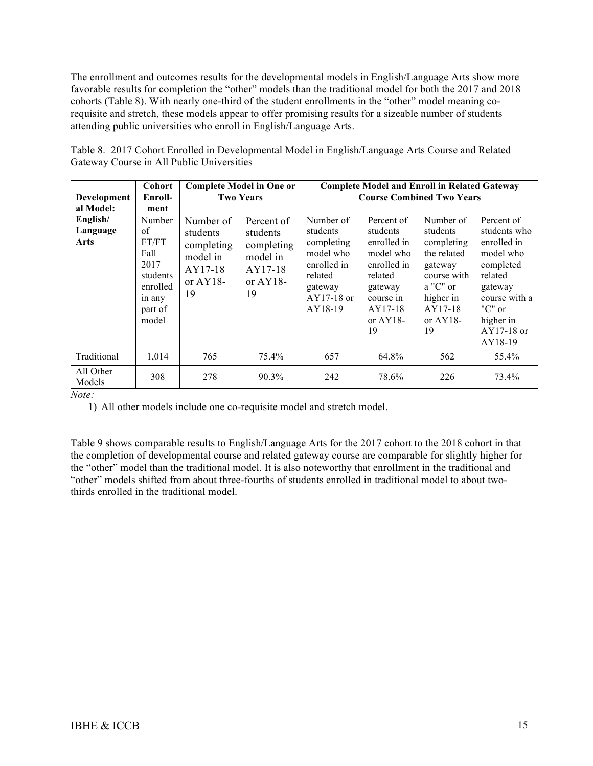The enrollment and outcomes results for the developmental models in English/Language Arts show more favorable results for completion the "other" models than the traditional model for both the 2017 and 2018 cohorts (Table 8). With nearly one-third of the student enrollments in the "other" model meaning corequisite and stretch, these models appear to offer promising results for a sizeable number of students attending public universities who enroll in English/Language Arts.

| Development<br>al Model:     | Cohort<br>Enroll-<br>ment                                                                   |                                                                                 | <b>Complete Model in One or</b><br><b>Two Years</b>                              | <b>Complete Model and Enroll in Related Gateway</b><br><b>Course Combined Two Years</b>                          |                                                                                                                                      |                                                                                                                                         |                                                                                                                                                                  |
|------------------------------|---------------------------------------------------------------------------------------------|---------------------------------------------------------------------------------|----------------------------------------------------------------------------------|------------------------------------------------------------------------------------------------------------------|--------------------------------------------------------------------------------------------------------------------------------------|-----------------------------------------------------------------------------------------------------------------------------------------|------------------------------------------------------------------------------------------------------------------------------------------------------------------|
| English/<br>Language<br>Arts | Number<br>of<br>FT/FT<br>Fall<br>2017<br>students<br>enrolled<br>in any<br>part of<br>model | Number of<br>students<br>completing<br>model in<br>AY17-18<br>or $AY18$ -<br>19 | Percent of<br>students<br>completing<br>model in<br>AY17-18<br>or $AY18$ -<br>19 | Number of<br>students<br>completing<br>model who<br>enrolled in<br>related<br>gateway<br>$AY17-18$ or<br>AY18-19 | Percent of<br>students<br>enrolled in<br>model who<br>enrolled in<br>related<br>gateway<br>course in<br>AY17-18<br>or $AY18$ -<br>19 | Number of<br>students<br>completing<br>the related<br>gateway<br>course with<br>$a$ "C" or<br>higher in<br>AY17-18<br>or $AY18$ -<br>19 | Percent of<br>students who<br>enrolled in<br>model who<br>completed<br>related<br>gateway<br>course with a<br>" $C$ " or<br>higher in<br>$AY17-18$ or<br>AY18-19 |
| Traditional                  | 1,014                                                                                       | 765                                                                             | 75.4%                                                                            | 657                                                                                                              | 64.8%                                                                                                                                | 562                                                                                                                                     | 55.4%                                                                                                                                                            |
| All Other<br>Models          | 308                                                                                         | 278                                                                             | 90.3%                                                                            | 242                                                                                                              | 78.6%                                                                                                                                | 226                                                                                                                                     | 73.4%                                                                                                                                                            |

Table 8. 2017 Cohort Enrolled in Developmental Model in English/Language Arts Course and Related Gateway Course in All Public Universities

*Note:*

1) All other models include one co-requisite model and stretch model.

Table 9 shows comparable results to English/Language Arts for the 2017 cohort to the 2018 cohort in that the completion of developmental course and related gateway course are comparable for slightly higher for the "other" model than the traditional model. It is also noteworthy that enrollment in the traditional and "other" models shifted from about three-fourths of students enrolled in traditional model to about twothirds enrolled in the traditional model.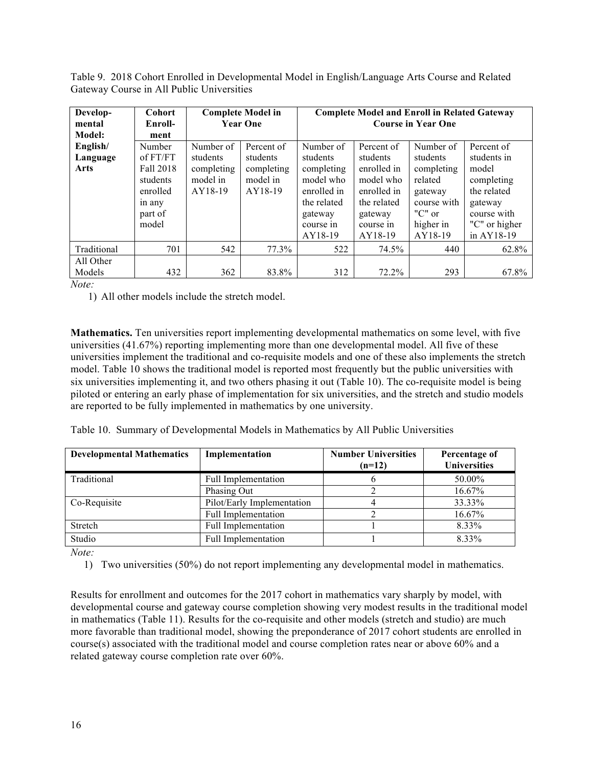Table 9. 2018 Cohort Enrolled in Developmental Model in English/Language Arts Course and Related Gateway Course in All Public Universities

| Develop-    | Cohort    |            | <b>Complete Model in</b> | <b>Complete Model and Enroll in Related Gateway</b> |             |                           |               |
|-------------|-----------|------------|--------------------------|-----------------------------------------------------|-------------|---------------------------|---------------|
| mental      | Enroll-   |            | <b>Year One</b>          |                                                     |             | <b>Course in Year One</b> |               |
| Model:      | ment      |            |                          |                                                     |             |                           |               |
| English/    | Number    | Number of  | Percent of               | Number of                                           | Percent of  | Number of                 | Percent of    |
| Language    | of FT/FT  | students   | students                 | students                                            | students    | students                  | students in   |
| Arts        | Fall 2018 | completing | completing               | completing                                          | enrolled in | completing                | model         |
|             | students  | model in   | model in                 | model who                                           | model who   | related                   | completing    |
|             | enrolled  | AY18-19    | AY18-19                  | enrolled in                                         | enrolled in | gateway                   | the related   |
|             | in any    |            |                          | the related                                         | the related | course with               | gateway       |
|             | part of   |            |                          | gateway                                             | gateway     | " $C$ " or                | course with   |
|             | model     |            |                          | course in                                           | course in   | higher in                 | "C" or higher |
|             |           |            |                          | AY18-19                                             | AY18-19     | AY18-19                   | in AY18-19    |
| Traditional | 701       | 542        | 77.3%                    | 522                                                 | 74.5%       | 440                       | 62.8%         |
| All Other   |           |            |                          |                                                     |             |                           |               |
| Models      | 432       | 362        | 83.8%                    | 312                                                 | 72.2%       | 293                       | 67.8%         |

1) All other models include the stretch model.

**Mathematics.** Ten universities report implementing developmental mathematics on some level, with five universities (41.67%) reporting implementing more than one developmental model. All five of these universities implement the traditional and co-requisite models and one of these also implements the stretch model. Table 10 shows the traditional model is reported most frequently but the public universities with six universities implementing it, and two others phasing it out (Table 10). The co-requisite model is being piloted or entering an early phase of implementation for six universities, and the stretch and studio models are reported to be fully implemented in mathematics by one university.

Table 10. Summary of Developmental Models in Mathematics by All Public Universities

| <b>Developmental Mathematics</b> | Implementation             | <b>Number Universities</b><br>$(n=12)$ | Percentage of<br><b>Universities</b> |
|----------------------------------|----------------------------|----------------------------------------|--------------------------------------|
| Traditional                      | <b>Full Implementation</b> |                                        | 50.00%                               |
|                                  | Phasing Out                |                                        | 16.67%                               |
| Co-Requisite                     | Pilot/Early Implementation |                                        | 33.33%                               |
|                                  | <b>Full Implementation</b> |                                        | 16.67%                               |
| Stretch                          | <b>Full Implementation</b> |                                        | 8.33%                                |
| Studio                           | <b>Full Implementation</b> |                                        | 8.33%                                |

*Note:*

1) Two universities (50%) do not report implementing any developmental model in mathematics.

Results for enrollment and outcomes for the 2017 cohort in mathematics vary sharply by model, with developmental course and gateway course completion showing very modest results in the traditional model in mathematics (Table 11). Results for the co-requisite and other models (stretch and studio) are much more favorable than traditional model, showing the preponderance of 2017 cohort students are enrolled in course(s) associated with the traditional model and course completion rates near or above 60% and a related gateway course completion rate over 60%.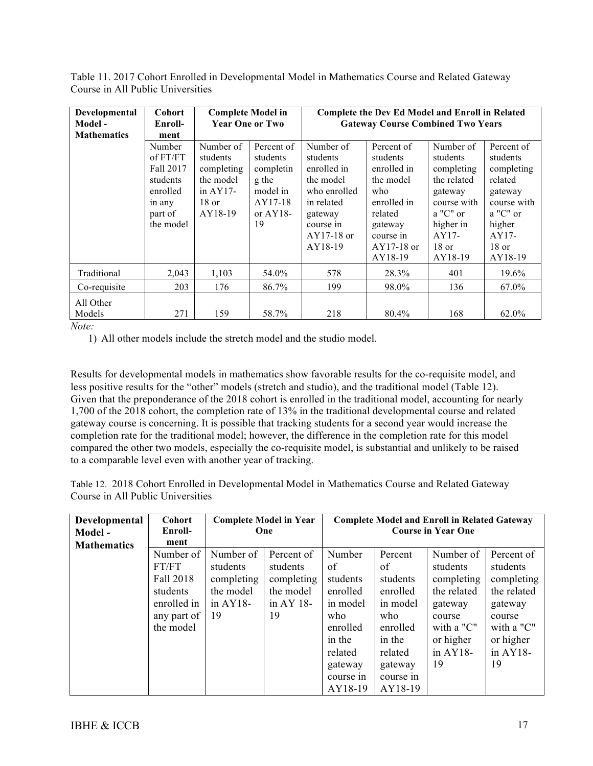| Table 11. 2017 Cohort Enrolled in Developmental Model in Mathematics Course and Related Gateway |  |
|-------------------------------------------------------------------------------------------------|--|
| Course in All Public Universities                                                               |  |

| Developmental<br>Model - | <b>Cohort</b><br>Enroll-                                                                  | <b>Complete Model in</b><br><b>Year One or Two</b>                                   |                                                                                          |                                                                                                                                    | Complete the Dev Ed Model and Enroll in Related<br><b>Gateway Course Combined Two Years</b>                                            |                                                                                                                                        |                                                                                                                                  |
|--------------------------|-------------------------------------------------------------------------------------------|--------------------------------------------------------------------------------------|------------------------------------------------------------------------------------------|------------------------------------------------------------------------------------------------------------------------------------|----------------------------------------------------------------------------------------------------------------------------------------|----------------------------------------------------------------------------------------------------------------------------------------|----------------------------------------------------------------------------------------------------------------------------------|
| <b>Mathematics</b>       | ment                                                                                      |                                                                                      |                                                                                          |                                                                                                                                    |                                                                                                                                        |                                                                                                                                        |                                                                                                                                  |
|                          | Number<br>of FT/FT<br>Fall 2017<br>students<br>enrolled<br>in any<br>part of<br>the model | Number of<br>students<br>completing<br>the model<br>in $AY17-$<br>$18$ or<br>AY18-19 | Percent of<br>students<br>completin<br>g the<br>model in<br>AY17-18<br>or $AY18$ -<br>19 | Number of<br>students<br>enrolled in<br>the model<br>who enrolled<br>in related<br>gateway<br>course in<br>$AY17-18$ or<br>AY18-19 | Percent of<br>students<br>enrolled in<br>the model<br>who<br>enrolled in<br>related<br>gateway<br>course in<br>$AY17-18$ or<br>AY18-19 | Number of<br>students<br>completing<br>the related<br>gateway<br>course with<br>a "C" or<br>higher in<br>$AY17-$<br>$18$ or<br>AY18-19 | Percent of<br>students<br>completing<br>related<br>gateway<br>course with<br>a "C" or<br>higher<br>$AY17-$<br>$18$ or<br>AY18-19 |
| Traditional              | 2,043                                                                                     | 1,103                                                                                | 54.0%                                                                                    | 578                                                                                                                                | 28.3%                                                                                                                                  | 401                                                                                                                                    | 19.6%                                                                                                                            |
| Co-requisite             | 203                                                                                       | 176                                                                                  | 86.7%                                                                                    | 199                                                                                                                                | 98.0%                                                                                                                                  | 136                                                                                                                                    | 67.0%                                                                                                                            |
| All Other<br>Models      | 271                                                                                       | 159                                                                                  | 58.7%                                                                                    | 218                                                                                                                                | 80.4%                                                                                                                                  | 168                                                                                                                                    | 62.0%                                                                                                                            |

1) All other models include the stretch model and the studio model.

Results for developmental models in mathematics show favorable results for the co-requisite model, and less positive results for the "other" models (stretch and studio), and the traditional model (Table 12). Given that the preponderance of the 2018 cohort is enrolled in the traditional model, accounting for nearly 1,700 of the 2018 cohort, the completion rate of 13% in the traditional developmental course and related gateway course is concerning. It is possible that tracking students for a second year would increase the completion rate for the traditional model; however, the difference in the completion rate for this model compared the other two models, especially the co-requisite model, is substantial and unlikely to be raised to a comparable level even with another year of tracking.

Table 12. 2018 Cohort Enrolled in Developmental Model in Mathematics Course and Related Gateway Course in All Public Universities

| Developmental      | <b>Cohort</b> |            | <b>Complete Model in Year</b> |           |           | <b>Complete Model and Enroll in Related Gateway</b> |             |
|--------------------|---------------|------------|-------------------------------|-----------|-----------|-----------------------------------------------------|-------------|
| Model-             | Enroll-       |            | One                           |           |           | <b>Course in Year One</b>                           |             |
| <b>Mathematics</b> | ment          |            |                               |           |           |                                                     |             |
|                    | Number of     | Number of  | Percent of                    | Number    | Percent   | Number of                                           | Percent of  |
|                    | FT/FT         | students   | students                      | of        | of        | students                                            | students    |
|                    | Fall 2018     | completing | completing                    | students  | students  | completing                                          | completing  |
|                    | students      | the model  | the model                     | enrolled  | enrolled  | the related                                         | the related |
|                    | enrolled in   | in $AY18-$ | in AY $18$ -                  | in model  | in model  | gateway                                             | gateway     |
|                    | any part of   | 19         | 19                            | who       | who       | course                                              | course      |
|                    | the model     |            |                               | enrolled  | enrolled  | with a "C"                                          | with a "C"  |
|                    |               |            |                               | in the    | in the    | or higher                                           | or higher   |
|                    |               |            |                               | related   | related   | in $AY18-$                                          | in $AY18-$  |
|                    |               |            |                               | gateway   | gateway   | 19                                                  | 19          |
|                    |               |            |                               | course in | course in |                                                     |             |
|                    |               |            |                               | AY18-19   | AY18-19   |                                                     |             |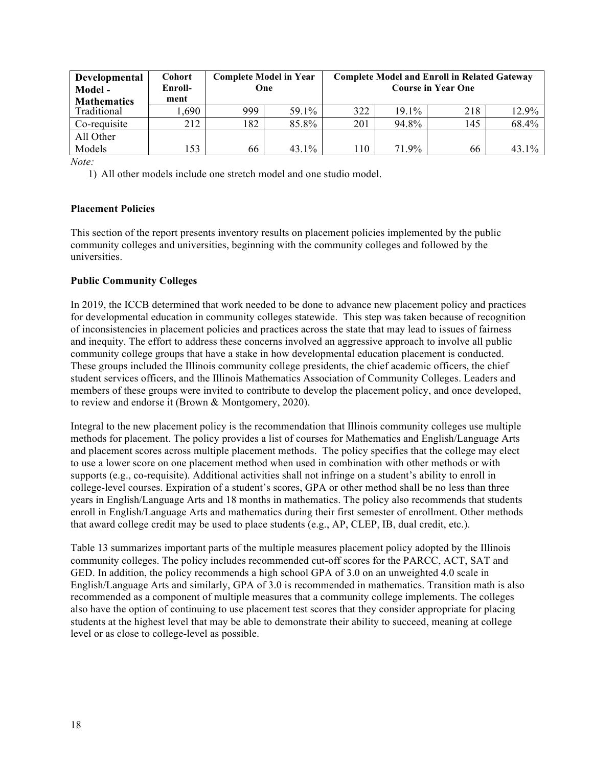| Developmental<br>Model-<br><b>Mathematics</b> | <b>Cohort</b><br>Enroll-<br>ment | <b>Complete Model in Year</b><br>One |          |     |       | <b>Complete Model and Enroll in Related Gateway</b><br><b>Course in Year One</b> |       |
|-----------------------------------------------|----------------------------------|--------------------------------------|----------|-----|-------|----------------------------------------------------------------------------------|-------|
| Traditional                                   | 1,690                            | 999                                  | 59.1%    | 322 | 19.1% | 218                                                                              | 12.9% |
| Co-requisite                                  | 212                              | 182                                  | 85.8%    | 201 | 94.8% | 145                                                                              | 68.4% |
| All Other                                     |                                  |                                      |          |     |       |                                                                                  |       |
| Models                                        | 153                              | 66                                   | $43.1\%$ | 110 | 71.9% | 66                                                                               | 43.1% |

1) All other models include one stretch model and one studio model.

#### **Placement Policies**

This section of the report presents inventory results on placement policies implemented by the public community colleges and universities, beginning with the community colleges and followed by the universities.

#### **Public Community Colleges**

In 2019, the ICCB determined that work needed to be done to advance new placement policy and practices for developmental education in community colleges statewide. This step was taken because of recognition of inconsistencies in placement policies and practices across the state that may lead to issues of fairness and inequity. The effort to address these concerns involved an aggressive approach to involve all public community college groups that have a stake in how developmental education placement is conducted. These groups included the Illinois community college presidents, the chief academic officers, the chief student services officers, and the Illinois Mathematics Association of Community Colleges. Leaders and members of these groups were invited to contribute to develop the placement policy, and once developed, to review and endorse it (Brown & Montgomery, 2020).

Integral to the new placement policy is the recommendation that Illinois community colleges use multiple methods for placement. The policy provides a list of courses for Mathematics and English/Language Arts and placement scores across multiple placement methods. The policy specifies that the college may elect to use a lower score on one placement method when used in combination with other methods or with supports (e.g., co-requisite). Additional activities shall not infringe on a student's ability to enroll in college-level courses. Expiration of a student's scores, GPA or other method shall be no less than three years in English/Language Arts and 18 months in mathematics. The policy also recommends that students enroll in English/Language Arts and mathematics during their first semester of enrollment. Other methods that award college credit may be used to place students (e.g., AP, CLEP, IB, dual credit, etc.).

Table 13 summarizes important parts of the multiple measures placement policy adopted by the Illinois community colleges. The policy includes recommended cut-off scores for the PARCC, ACT, SAT and GED. In addition, the policy recommends a high school GPA of 3.0 on an unweighted 4.0 scale in English/Language Arts and similarly, GPA of 3.0 is recommended in mathematics. Transition math is also recommended as a component of multiple measures that a community college implements. The colleges also have the option of continuing to use placement test scores that they consider appropriate for placing students at the highest level that may be able to demonstrate their ability to succeed, meaning at college level or as close to college-level as possible.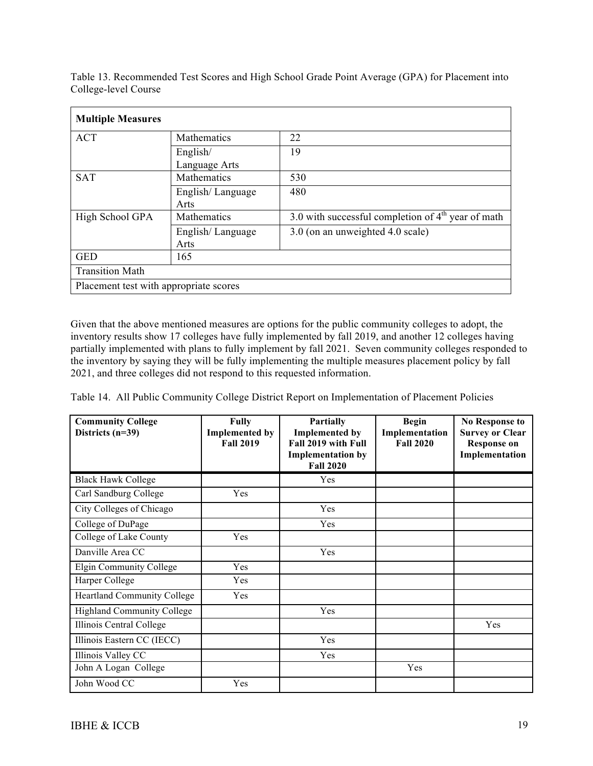| <b>Multiple Measures</b>               |                           |                                                      |  |  |
|----------------------------------------|---------------------------|------------------------------------------------------|--|--|
| <b>ACT</b>                             | Mathematics               | 22                                                   |  |  |
|                                        | English/<br>Language Arts | 19                                                   |  |  |
| <b>SAT</b>                             | Mathematics               | 530                                                  |  |  |
|                                        | English/Language<br>Arts  | 480                                                  |  |  |
| High School GPA                        | <b>Mathematics</b>        | 3.0 with successful completion of $4th$ year of math |  |  |
|                                        | English/Language<br>Arts  | 3.0 (on an unweighted 4.0 scale)                     |  |  |
| <b>GED</b>                             | 165                       |                                                      |  |  |
| <b>Transition Math</b>                 |                           |                                                      |  |  |
| Placement test with appropriate scores |                           |                                                      |  |  |

Table 13. Recommended Test Scores and High School Grade Point Average (GPA) for Placement into College-level Course

Given that the above mentioned measures are options for the public community colleges to adopt, the inventory results show 17 colleges have fully implemented by fall 2019, and another 12 colleges having partially implemented with plans to fully implement by fall 2021. Seven community colleges responded to the inventory by saying they will be fully implementing the multiple measures placement policy by fall 2021, and three colleges did not respond to this requested information.

Table 14. All Public Community College District Report on Implementation of Placement Policies

| <b>Community College</b><br>Districts $(n=39)$ | <b>Fully</b><br><b>Implemented by</b><br><b>Fall 2019</b> | <b>Partially</b><br><b>Implemented by</b><br>Fall 2019 with Full<br><b>Implementation by</b><br><b>Fall 2020</b> | <b>Begin</b><br>Implementation<br><b>Fall 2020</b> | <b>No Response to</b><br><b>Survey or Clear</b><br><b>Response on</b><br>Implementation |
|------------------------------------------------|-----------------------------------------------------------|------------------------------------------------------------------------------------------------------------------|----------------------------------------------------|-----------------------------------------------------------------------------------------|
| <b>Black Hawk College</b>                      |                                                           | Yes                                                                                                              |                                                    |                                                                                         |
| Carl Sandburg College                          | Yes                                                       |                                                                                                                  |                                                    |                                                                                         |
| City Colleges of Chicago                       |                                                           | Yes                                                                                                              |                                                    |                                                                                         |
| College of DuPage                              |                                                           | Yes                                                                                                              |                                                    |                                                                                         |
| College of Lake County                         | Yes                                                       |                                                                                                                  |                                                    |                                                                                         |
| Danville Area CC                               |                                                           | Yes                                                                                                              |                                                    |                                                                                         |
| Elgin Community College                        | Yes                                                       |                                                                                                                  |                                                    |                                                                                         |
| Harper College                                 | Yes                                                       |                                                                                                                  |                                                    |                                                                                         |
| <b>Heartland Community College</b>             | Yes                                                       |                                                                                                                  |                                                    |                                                                                         |
| <b>Highland Community College</b>              |                                                           | Yes                                                                                                              |                                                    |                                                                                         |
| Illinois Central College                       |                                                           |                                                                                                                  |                                                    | Yes                                                                                     |
| Illinois Eastern CC (IECC)                     |                                                           | Yes                                                                                                              |                                                    |                                                                                         |
| Illinois Valley CC                             |                                                           | Yes                                                                                                              |                                                    |                                                                                         |
| John A Logan College                           |                                                           |                                                                                                                  | Yes                                                |                                                                                         |
| John Wood CC                                   | Yes                                                       |                                                                                                                  |                                                    |                                                                                         |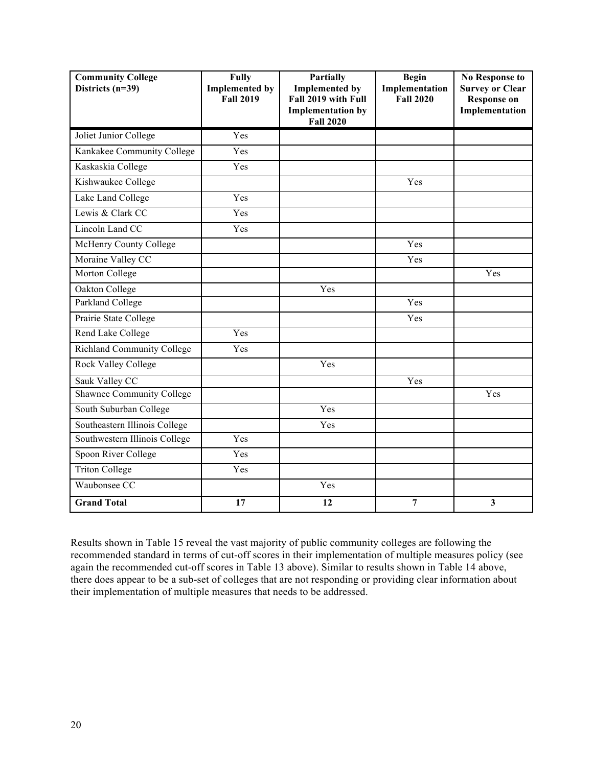| <b>Community College</b><br>Districts (n=39) | <b>Fully</b><br><b>Implemented by</b><br><b>Fall 2019</b> | Partially<br><b>Implemented by</b><br>Fall 2019 with Full<br><b>Implementation by</b><br><b>Fall 2020</b> | <b>Begin</b><br>Implementation<br><b>Fall 2020</b> | <b>No Response to</b><br><b>Survey or Clear</b><br><b>Response on</b><br>Implementation |
|----------------------------------------------|-----------------------------------------------------------|-----------------------------------------------------------------------------------------------------------|----------------------------------------------------|-----------------------------------------------------------------------------------------|
| Joliet Junior College                        | Yes                                                       |                                                                                                           |                                                    |                                                                                         |
| Kankakee Community College                   | Yes                                                       |                                                                                                           |                                                    |                                                                                         |
| Kaskaskia College                            | Yes                                                       |                                                                                                           |                                                    |                                                                                         |
| Kishwaukee College                           |                                                           |                                                                                                           | Yes                                                |                                                                                         |
| Lake Land College                            | Yes                                                       |                                                                                                           |                                                    |                                                                                         |
| Lewis & Clark CC                             | Yes                                                       |                                                                                                           |                                                    |                                                                                         |
| Lincoln Land CC                              | Yes                                                       |                                                                                                           |                                                    |                                                                                         |
| McHenry County College                       |                                                           |                                                                                                           | Yes                                                |                                                                                         |
| Moraine Valley CC                            |                                                           |                                                                                                           | Yes                                                |                                                                                         |
| Morton College                               |                                                           |                                                                                                           |                                                    | Yes                                                                                     |
| Oakton College                               |                                                           | Yes                                                                                                       |                                                    |                                                                                         |
| Parkland College                             |                                                           |                                                                                                           | Yes                                                |                                                                                         |
| Prairie State College                        |                                                           |                                                                                                           | Yes                                                |                                                                                         |
| <b>Rend Lake College</b>                     | Yes                                                       |                                                                                                           |                                                    |                                                                                         |
| <b>Richland Community College</b>            | Yes                                                       |                                                                                                           |                                                    |                                                                                         |
| <b>Rock Valley College</b>                   |                                                           | Yes                                                                                                       |                                                    |                                                                                         |
| Sauk Valley CC                               |                                                           |                                                                                                           | Yes                                                |                                                                                         |
| <b>Shawnee Community College</b>             |                                                           |                                                                                                           |                                                    | Yes                                                                                     |
| South Suburban College                       |                                                           | $\overline{Y}$ es                                                                                         |                                                    |                                                                                         |
| Southeastern Illinois College                |                                                           | Yes                                                                                                       |                                                    |                                                                                         |
| Southwestern Illinois College                | Yes                                                       |                                                                                                           |                                                    |                                                                                         |
| Spoon River College                          | Yes                                                       |                                                                                                           |                                                    |                                                                                         |
| <b>Triton College</b>                        | Yes                                                       |                                                                                                           |                                                    |                                                                                         |
| Waubonsee CC                                 |                                                           | Yes                                                                                                       |                                                    |                                                                                         |
| <b>Grand Total</b>                           | 17                                                        | 12                                                                                                        | $\overline{7}$                                     | 3                                                                                       |

Results shown in Table 15 reveal the vast majority of public community colleges are following the recommended standard in terms of cut-off scores in their implementation of multiple measures policy (see again the recommended cut-off scores in Table 13 above). Similar to results shown in Table 14 above, there does appear to be a sub-set of colleges that are not responding or providing clear information about their implementation of multiple measures that needs to be addressed.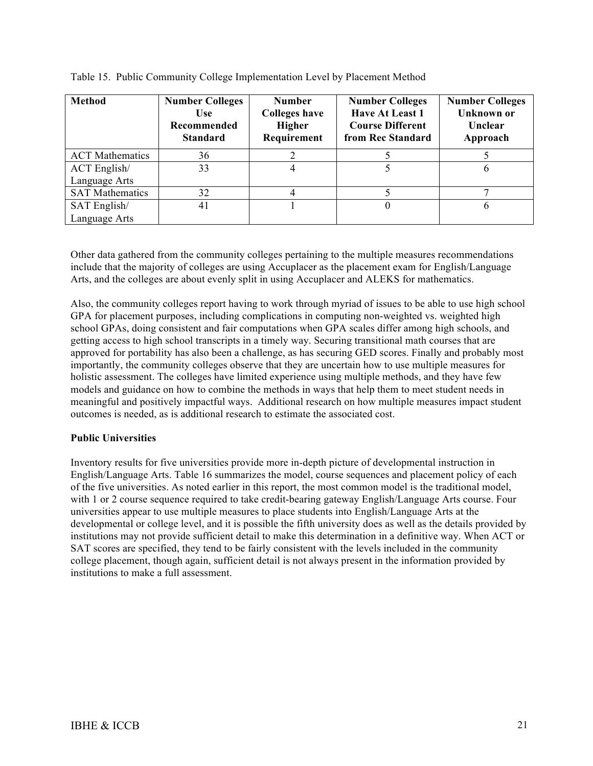| <b>Method</b>                 | <b>Number Colleges</b><br><b>Use</b><br>Recommended<br><b>Standard</b> | <b>Number</b><br><b>Colleges have</b><br>Higher<br>Requirement | <b>Number Colleges</b><br><b>Have At Least 1</b><br><b>Course Different</b><br>from Rec Standard | <b>Number Colleges</b><br><b>Unknown</b> or<br>Unclear<br>Approach |
|-------------------------------|------------------------------------------------------------------------|----------------------------------------------------------------|--------------------------------------------------------------------------------------------------|--------------------------------------------------------------------|
| <b>ACT</b> Mathematics        | 36                                                                     |                                                                |                                                                                                  |                                                                    |
| ACT English/<br>Language Arts | 33                                                                     |                                                                |                                                                                                  | b                                                                  |
| <b>SAT Mathematics</b>        | 32                                                                     |                                                                |                                                                                                  |                                                                    |
| SAT English/                  | 41                                                                     |                                                                |                                                                                                  |                                                                    |
| Language Arts                 |                                                                        |                                                                |                                                                                                  |                                                                    |

Table 15. Public Community College Implementation Level by Placement Method

Other data gathered from the community colleges pertaining to the multiple measures recommendations include that the majority of colleges are using Accuplacer as the placement exam for English/Language Arts, and the colleges are about evenly split in using Accuplacer and ALEKS for mathematics.

Also, the community colleges report having to work through myriad of issues to be able to use high school GPA for placement purposes, including complications in computing non-weighted vs. weighted high school GPAs, doing consistent and fair computations when GPA scales differ among high schools, and getting access to high school transcripts in a timely way. Securing transitional math courses that are approved for portability has also been a challenge, as has securing GED scores. Finally and probably most importantly, the community colleges observe that they are uncertain how to use multiple measures for holistic assessment. The colleges have limited experience using multiple methods, and they have few models and guidance on how to combine the methods in ways that help them to meet student needs in meaningful and positively impactful ways. Additional research on how multiple measures impact student outcomes is needed, as is additional research to estimate the associated cost.

#### **Public Universities**

Inventory results for five universities provide more in-depth picture of developmental instruction in English/Language Arts. Table 16 summarizes the model, course sequences and placement policy of each of the five universities. As noted earlier in this report, the most common model is the traditional model, with 1 or 2 course sequence required to take credit-bearing gateway English/Language Arts course. Four universities appear to use multiple measures to place students into English/Language Arts at the developmental or college level, and it is possible the fifth university does as well as the details provided by institutions may not provide sufficient detail to make this determination in a definitive way. When ACT or SAT scores are specified, they tend to be fairly consistent with the levels included in the community college placement, though again, sufficient detail is not always present in the information provided by institutions to make a full assessment.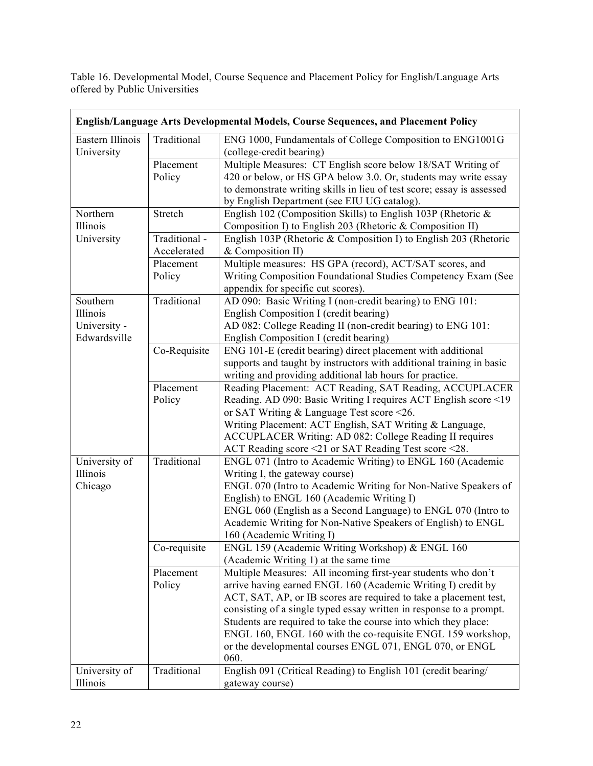Table 16. Developmental Model, Course Sequence and Placement Policy for English/Language Arts offered by Public Universities

|                                                      |                              | English/Language Arts Developmental Models, Course Sequences, and Placement Policy                                                                                                                                                                                                                                                                                                                                                                                              |
|------------------------------------------------------|------------------------------|---------------------------------------------------------------------------------------------------------------------------------------------------------------------------------------------------------------------------------------------------------------------------------------------------------------------------------------------------------------------------------------------------------------------------------------------------------------------------------|
| Eastern Illinois<br>University                       | Traditional                  | ENG 1000, Fundamentals of College Composition to ENG1001G<br>(college-credit bearing)                                                                                                                                                                                                                                                                                                                                                                                           |
|                                                      | Placement<br>Policy          | Multiple Measures: CT English score below 18/SAT Writing of<br>420 or below, or HS GPA below 3.0. Or, students may write essay<br>to demonstrate writing skills in lieu of test score; essay is assessed<br>by English Department (see EIU UG catalog).                                                                                                                                                                                                                         |
| Northern<br>Illinois                                 | Stretch                      | English 102 (Composition Skills) to English 103P (Rhetoric $\&$<br>Composition I) to English 203 (Rhetoric & Composition II)                                                                                                                                                                                                                                                                                                                                                    |
| University                                           | Traditional -<br>Accelerated | English 103P (Rhetoric & Composition I) to English 203 (Rhetoric<br>& Composition II)                                                                                                                                                                                                                                                                                                                                                                                           |
|                                                      | Placement<br>Policy          | Multiple measures: HS GPA (record), ACT/SAT scores, and<br>Writing Composition Foundational Studies Competency Exam (See<br>appendix for specific cut scores).                                                                                                                                                                                                                                                                                                                  |
| Southern<br>Illinois<br>University -<br>Edwardsville | Traditional                  | AD 090: Basic Writing I (non-credit bearing) to ENG 101:<br>English Composition I (credit bearing)<br>AD 082: College Reading II (non-credit bearing) to ENG 101:<br>English Composition I (credit bearing)                                                                                                                                                                                                                                                                     |
|                                                      | Co-Requisite                 | ENG 101-E (credit bearing) direct placement with additional<br>supports and taught by instructors with additional training in basic<br>writing and providing additional lab hours for practice.                                                                                                                                                                                                                                                                                 |
|                                                      | Placement<br>Policy          | Reading Placement: ACT Reading, SAT Reading, ACCUPLACER<br>Reading. AD 090: Basic Writing I requires ACT English score <19<br>or SAT Writing $&$ Language Test score <26.<br>Writing Placement: ACT English, SAT Writing & Language,<br>ACCUPLACER Writing: AD 082: College Reading II requires<br>ACT Reading score <21 or SAT Reading Test score <28.                                                                                                                         |
| University of<br>Illinois<br>Chicago                 | Traditional                  | ENGL 071 (Intro to Academic Writing) to ENGL 160 (Academic<br>Writing I, the gateway course)<br>ENGL 070 (Intro to Academic Writing for Non-Native Speakers of<br>English) to ENGL 160 (Academic Writing I)<br>ENGL 060 (English as a Second Language) to ENGL 070 (Intro to<br>Academic Writing for Non-Native Speakers of English) to ENGL<br>160 (Academic Writing I)                                                                                                        |
|                                                      | Co-requisite                 | ENGL 159 (Academic Writing Workshop) & ENGL 160<br>(Academic Writing 1) at the same time                                                                                                                                                                                                                                                                                                                                                                                        |
|                                                      | Placement<br>Policy          | Multiple Measures: All incoming first-year students who don't<br>arrive having earned ENGL 160 (Academic Writing I) credit by<br>ACT, SAT, AP, or IB scores are required to take a placement test,<br>consisting of a single typed essay written in response to a prompt.<br>Students are required to take the course into which they place:<br>ENGL 160, ENGL 160 with the co-requisite ENGL 159 workshop,<br>or the developmental courses ENGL 071, ENGL 070, or ENGL<br>060. |
| University of<br>Illinois                            | Traditional                  | English 091 (Critical Reading) to English 101 (credit bearing/<br>gateway course)                                                                                                                                                                                                                                                                                                                                                                                               |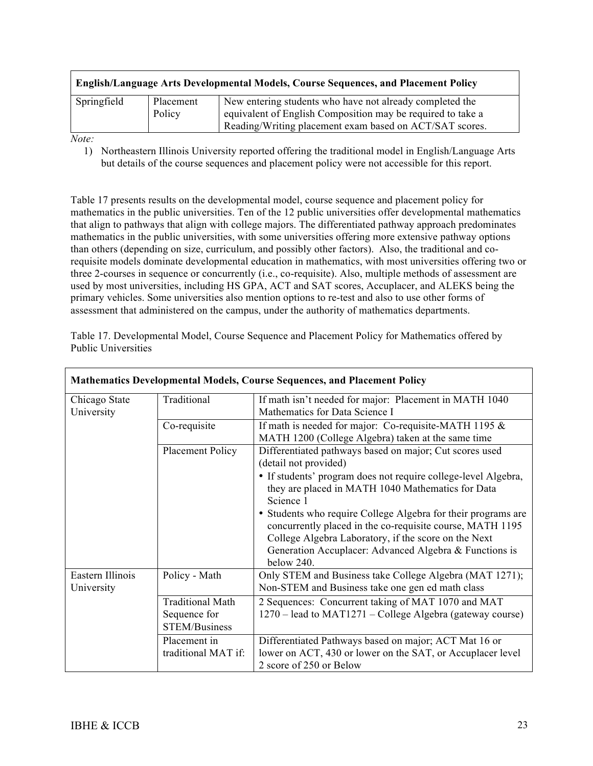| English/Language Arts Developmental Models, Course Sequences, and Placement Policy |                     |                                                                                                                                                                                    |  |
|------------------------------------------------------------------------------------|---------------------|------------------------------------------------------------------------------------------------------------------------------------------------------------------------------------|--|
| Springfield                                                                        | Placement<br>Policy | New entering students who have not already completed the<br>equivalent of English Composition may be required to take a<br>Reading/Writing placement exam based on ACT/SAT scores. |  |
|                                                                                    |                     |                                                                                                                                                                                    |  |

1) Northeastern Illinois University reported offering the traditional model in English/Language Arts but details of the course sequences and placement policy were not accessible for this report.

Table 17 presents results on the developmental model, course sequence and placement policy for mathematics in the public universities. Ten of the 12 public universities offer developmental mathematics that align to pathways that align with college majors. The differentiated pathway approach predominates mathematics in the public universities, with some universities offering more extensive pathway options than others (depending on size, curriculum, and possibly other factors). Also, the traditional and corequisite models dominate developmental education in mathematics, with most universities offering two or three 2-courses in sequence or concurrently (i.e., co-requisite). Also, multiple methods of assessment are used by most universities, including HS GPA, ACT and SAT scores, Accuplacer, and ALEKS being the primary vehicles. Some universities also mention options to re-test and also to use other forms of assessment that administered on the campus, under the authority of mathematics departments.

|                                |                                                          | <b>Mathematics Developmental Models, Course Sequences, and Placement Policy</b>                                                                                                                                                                            |
|--------------------------------|----------------------------------------------------------|------------------------------------------------------------------------------------------------------------------------------------------------------------------------------------------------------------------------------------------------------------|
| Chicago State<br>University    | Traditional                                              | If math isn't needed for major: Placement in MATH 1040<br>Mathematics for Data Science I                                                                                                                                                                   |
|                                | Co-requisite                                             | If math is needed for major: Co-requisite-MATH 1195 &<br>MATH 1200 (College Algebra) taken at the same time                                                                                                                                                |
|                                | <b>Placement Policy</b>                                  | Differentiated pathways based on major; Cut scores used<br>(detail not provided)                                                                                                                                                                           |
|                                |                                                          | • If students' program does not require college-level Algebra,<br>they are placed in MATH 1040 Mathematics for Data<br>Science 1                                                                                                                           |
|                                |                                                          | • Students who require College Algebra for their programs are<br>concurrently placed in the co-requisite course, MATH 1195<br>College Algebra Laboratory, if the score on the Next<br>Generation Accuplacer: Advanced Algebra & Functions is<br>below 240. |
| Eastern Illinois<br>University | Policy - Math                                            | Only STEM and Business take College Algebra (MAT 1271);<br>Non-STEM and Business take one gen ed math class                                                                                                                                                |
|                                | <b>Traditional Math</b><br>Sequence for<br>STEM/Business | 2 Sequences: Concurrent taking of MAT 1070 and MAT<br>1270 – lead to MAT1271 – College Algebra (gateway course)                                                                                                                                            |
|                                | Placement in<br>traditional MAT if:                      | Differentiated Pathways based on major; ACT Mat 16 or<br>lower on ACT, 430 or lower on the SAT, or Accuplacer level<br>2 score of 250 or Below                                                                                                             |

Table 17. Developmental Model, Course Sequence and Placement Policy for Mathematics offered by Public Universities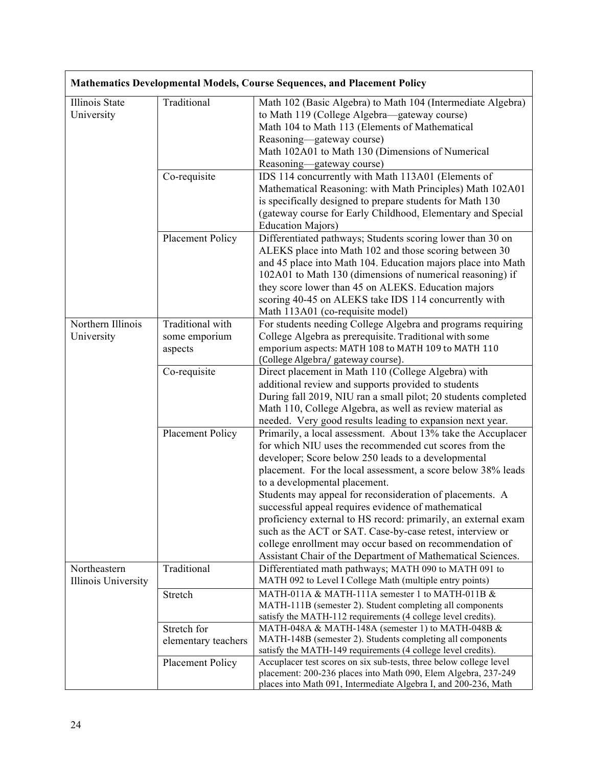| <b>Mathematics Developmental Models, Course Sequences, and Placement Policy</b> |                                              |                                                                                                                                                                                                                                                                                                                                                                                                                                                                                                                                                                                                                                                            |
|---------------------------------------------------------------------------------|----------------------------------------------|------------------------------------------------------------------------------------------------------------------------------------------------------------------------------------------------------------------------------------------------------------------------------------------------------------------------------------------------------------------------------------------------------------------------------------------------------------------------------------------------------------------------------------------------------------------------------------------------------------------------------------------------------------|
| Illinois State<br>University                                                    | Traditional                                  | Math 102 (Basic Algebra) to Math 104 (Intermediate Algebra)<br>to Math 119 (College Algebra—gateway course)<br>Math 104 to Math 113 (Elements of Mathematical<br>Reasoning-gateway course)<br>Math 102A01 to Math 130 (Dimensions of Numerical<br>Reasoning—gateway course)                                                                                                                                                                                                                                                                                                                                                                                |
|                                                                                 | Co-requisite                                 | IDS 114 concurrently with Math 113A01 (Elements of<br>Mathematical Reasoning: with Math Principles) Math 102A01<br>is specifically designed to prepare students for Math 130<br>(gateway course for Early Childhood, Elementary and Special<br><b>Education Majors)</b>                                                                                                                                                                                                                                                                                                                                                                                    |
|                                                                                 | Placement Policy                             | Differentiated pathways; Students scoring lower than 30 on<br>ALEKS place into Math 102 and those scoring between 30<br>and 45 place into Math 104. Education majors place into Math<br>102A01 to Math 130 (dimensions of numerical reasoning) if<br>they score lower than 45 on ALEKS. Education majors<br>scoring 40-45 on ALEKS take IDS 114 concurrently with<br>Math 113A01 (co-requisite model)                                                                                                                                                                                                                                                      |
| Northern Illinois<br>University                                                 | Traditional with<br>some emporium<br>aspects | For students needing College Algebra and programs requiring<br>College Algebra as prerequisite. Traditional with some<br>emporium aspects: MATH 108 to MATH 109 to MATH 110<br>(College Algebra/ gateway course).                                                                                                                                                                                                                                                                                                                                                                                                                                          |
|                                                                                 | Co-requisite                                 | Direct placement in Math 110 (College Algebra) with<br>additional review and supports provided to students<br>During fall 2019, NIU ran a small pilot; 20 students completed<br>Math 110, College Algebra, as well as review material as<br>needed. Very good results leading to expansion next year.                                                                                                                                                                                                                                                                                                                                                      |
|                                                                                 | <b>Placement Policy</b>                      | Primarily, a local assessment. About 13% take the Accuplacer<br>for which NIU uses the recommended cut scores from the<br>developer; Score below 250 leads to a developmental<br>placement. For the local assessment, a score below 38% leads<br>to a developmental placement.<br>Students may appeal for reconsideration of placements. A<br>successful appeal requires evidence of mathematical<br>proficiency external to HS record: primarily, an external exam<br>such as the ACT or SAT. Case-by-case retest, interview or<br>college enrollment may occur based on recommendation of<br>Assistant Chair of the Department of Mathematical Sciences. |
| Northeastern<br>Illinois University                                             | Traditional                                  | Differentiated math pathways; MATH 090 to MATH 091 to<br>MATH 092 to Level I College Math (multiple entry points)                                                                                                                                                                                                                                                                                                                                                                                                                                                                                                                                          |
|                                                                                 | Stretch                                      | MATH-011A & MATH-111A semester 1 to MATH-011B &<br>MATH-111B (semester 2). Student completing all components<br>satisfy the MATH-112 requirements (4 college level credits).                                                                                                                                                                                                                                                                                                                                                                                                                                                                               |
|                                                                                 | Stretch for<br>elementary teachers           | MATH-048A & MATH-148A (semester 1) to MATH-048B &<br>MATH-148B (semester 2). Students completing all components<br>satisfy the MATH-149 requirements (4 college level credits).                                                                                                                                                                                                                                                                                                                                                                                                                                                                            |
|                                                                                 | Placement Policy                             | Accuplacer test scores on six sub-tests, three below college level<br>placement: 200-236 places into Math 090, Elem Algebra, 237-249<br>places into Math 091, Intermediate Algebra I, and 200-236, Math                                                                                                                                                                                                                                                                                                                                                                                                                                                    |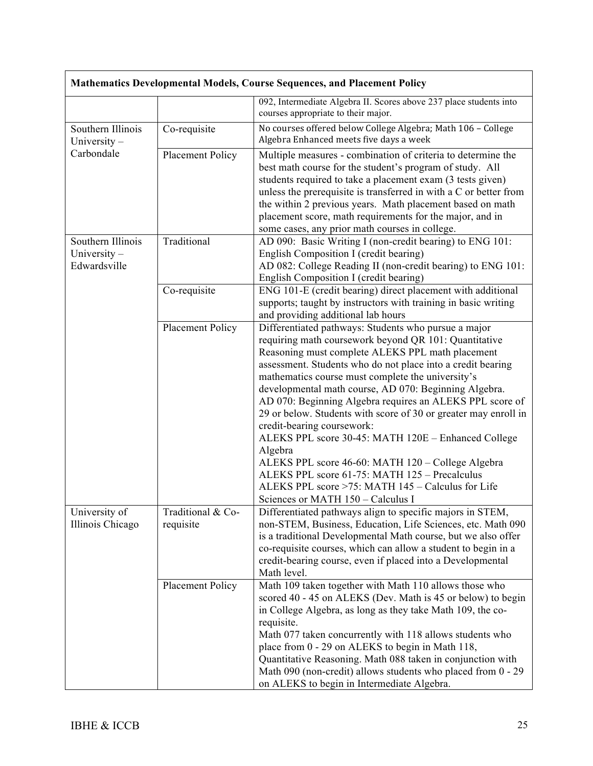|                                                     |                                | Mathematics Developmental Models, Course Sequences, and Placement Policy                                                                                                                                                                                                                                                                                                                                                                                                                                                                                                                                                                                                                                                                                                      |  |
|-----------------------------------------------------|--------------------------------|-------------------------------------------------------------------------------------------------------------------------------------------------------------------------------------------------------------------------------------------------------------------------------------------------------------------------------------------------------------------------------------------------------------------------------------------------------------------------------------------------------------------------------------------------------------------------------------------------------------------------------------------------------------------------------------------------------------------------------------------------------------------------------|--|
|                                                     |                                | 092, Intermediate Algebra II. Scores above 237 place students into<br>courses appropriate to their major.                                                                                                                                                                                                                                                                                                                                                                                                                                                                                                                                                                                                                                                                     |  |
| Southern Illinois<br>University $-$                 | Co-requisite                   | No courses offered below College Algebra; Math 106 - College<br>Algebra Enhanced meets five days a week                                                                                                                                                                                                                                                                                                                                                                                                                                                                                                                                                                                                                                                                       |  |
| Carbondale                                          | Placement Policy               | Multiple measures - combination of criteria to determine the<br>best math course for the student's program of study. All<br>students required to take a placement exam (3 tests given)<br>unless the prerequisite is transferred in with a C or better from<br>the within 2 previous years. Math placement based on math<br>placement score, math requirements for the major, and in<br>some cases, any prior math courses in college.                                                                                                                                                                                                                                                                                                                                        |  |
| Southern Illinois<br>University $-$<br>Edwardsville | Traditional                    | AD 090: Basic Writing I (non-credit bearing) to ENG 101:<br>English Composition I (credit bearing)<br>AD 082: College Reading II (non-credit bearing) to ENG 101:<br>English Composition I (credit bearing)                                                                                                                                                                                                                                                                                                                                                                                                                                                                                                                                                                   |  |
|                                                     | Co-requisite                   | ENG 101-E (credit bearing) direct placement with additional<br>supports; taught by instructors with training in basic writing<br>and providing additional lab hours                                                                                                                                                                                                                                                                                                                                                                                                                                                                                                                                                                                                           |  |
|                                                     | Placement Policy               | Differentiated pathways: Students who pursue a major<br>requiring math coursework beyond QR 101: Quantitative<br>Reasoning must complete ALEKS PPL math placement<br>assessment. Students who do not place into a credit bearing<br>mathematics course must complete the university's<br>developmental math course, AD 070: Beginning Algebra.<br>AD 070: Beginning Algebra requires an ALEKS PPL score of<br>29 or below. Students with score of 30 or greater may enroll in<br>credit-bearing coursework:<br>ALEKS PPL score 30-45: MATH 120E - Enhanced College<br>Algebra<br>ALEKS PPL score 46-60: MATH 120 - College Algebra<br>ALEKS PPL score 61-75: MATH 125 - Precalculus<br>ALEKS PPL score >75: MATH 145 - Calculus for Life<br>Sciences or MATH 150 - Calculus I |  |
| University of<br>Illinois Chicago                   | Traditional & Co-<br>requisite | Differentiated pathways align to specific majors in STEM,<br>non-STEM, Business, Education, Life Sciences, etc. Math 090<br>is a traditional Developmental Math course, but we also offer<br>co-requisite courses, which can allow a student to begin in a<br>credit-bearing course, even if placed into a Developmental<br>Math level.                                                                                                                                                                                                                                                                                                                                                                                                                                       |  |
|                                                     | Placement Policy               | Math 109 taken together with Math 110 allows those who<br>scored 40 - 45 on ALEKS (Dev. Math is 45 or below) to begin<br>in College Algebra, as long as they take Math 109, the co-<br>requisite.<br>Math 077 taken concurrently with 118 allows students who<br>place from 0 - 29 on ALEKS to begin in Math 118,<br>Quantitative Reasoning. Math 088 taken in conjunction with<br>Math 090 (non-credit) allows students who placed from 0 - 29<br>on ALEKS to begin in Intermediate Algebra.                                                                                                                                                                                                                                                                                 |  |

 $\mathsf{r}$ 

٦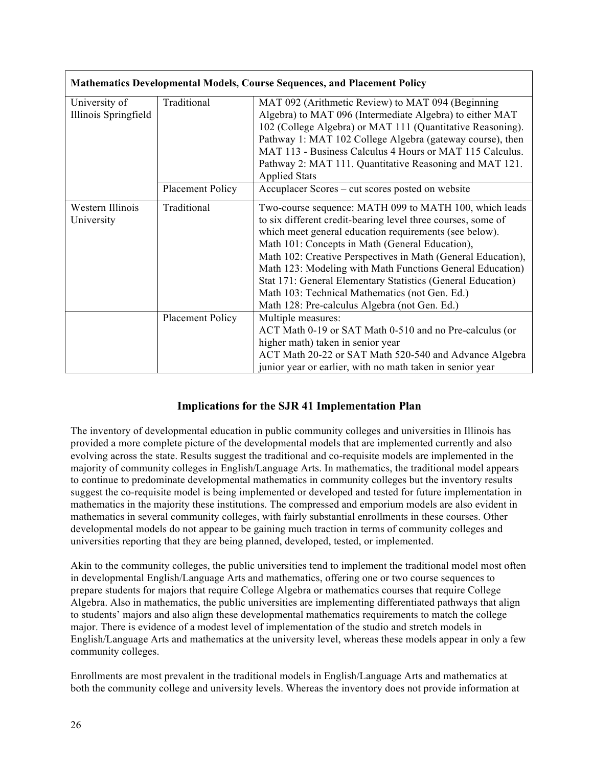| Mathematics Developmental Models, Course Sequences, and Placement Policy |                         |                                                              |
|--------------------------------------------------------------------------|-------------------------|--------------------------------------------------------------|
| University of                                                            | Traditional             | MAT 092 (Arithmetic Review) to MAT 094 (Beginning            |
| Illinois Springfield                                                     |                         | Algebra) to MAT 096 (Intermediate Algebra) to either MAT     |
|                                                                          |                         | 102 (College Algebra) or MAT 111 (Quantitative Reasoning).   |
|                                                                          |                         | Pathway 1: MAT 102 College Algebra (gateway course), then    |
|                                                                          |                         | MAT 113 - Business Calculus 4 Hours or MAT 115 Calculus.     |
|                                                                          |                         | Pathway 2: MAT 111. Quantitative Reasoning and MAT 121.      |
|                                                                          |                         | <b>Applied Stats</b>                                         |
|                                                                          | Placement Policy        | Accuplacer Scores – cut scores posted on website             |
| Western Illinois                                                         | Traditional             | Two-course sequence: MATH 099 to MATH 100, which leads       |
| University                                                               |                         | to six different credit-bearing level three courses, some of |
|                                                                          |                         | which meet general education requirements (see below).       |
|                                                                          |                         | Math 101: Concepts in Math (General Education),              |
|                                                                          |                         | Math 102: Creative Perspectives in Math (General Education), |
|                                                                          |                         | Math 123: Modeling with Math Functions General Education)    |
|                                                                          |                         | Stat 171: General Elementary Statistics (General Education)  |
|                                                                          |                         | Math 103: Technical Mathematics (not Gen. Ed.)               |
|                                                                          |                         | Math 128: Pre-calculus Algebra (not Gen. Ed.)                |
|                                                                          | <b>Placement Policy</b> | Multiple measures:                                           |
|                                                                          |                         | ACT Math 0-19 or SAT Math 0-510 and no Pre-calculus (or      |
|                                                                          |                         | higher math) taken in senior year                            |
|                                                                          |                         | ACT Math 20-22 or SAT Math 520-540 and Advance Algebra       |
|                                                                          |                         | junior year or earlier, with no math taken in senior year    |

# **Implications for the SJR 41 Implementation Plan**

The inventory of developmental education in public community colleges and universities in Illinois has provided a more complete picture of the developmental models that are implemented currently and also evolving across the state. Results suggest the traditional and co-requisite models are implemented in the majority of community colleges in English/Language Arts. In mathematics, the traditional model appears to continue to predominate developmental mathematics in community colleges but the inventory results suggest the co-requisite model is being implemented or developed and tested for future implementation in mathematics in the majority these institutions. The compressed and emporium models are also evident in mathematics in several community colleges, with fairly substantial enrollments in these courses. Other developmental models do not appear to be gaining much traction in terms of community colleges and universities reporting that they are being planned, developed, tested, or implemented.

Akin to the community colleges, the public universities tend to implement the traditional model most often in developmental English/Language Arts and mathematics, offering one or two course sequences to prepare students for majors that require College Algebra or mathematics courses that require College Algebra. Also in mathematics, the public universities are implementing differentiated pathways that align to students' majors and also align these developmental mathematics requirements to match the college major. There is evidence of a modest level of implementation of the studio and stretch models in English/Language Arts and mathematics at the university level, whereas these models appear in only a few community colleges.

Enrollments are most prevalent in the traditional models in English/Language Arts and mathematics at both the community college and university levels. Whereas the inventory does not provide information at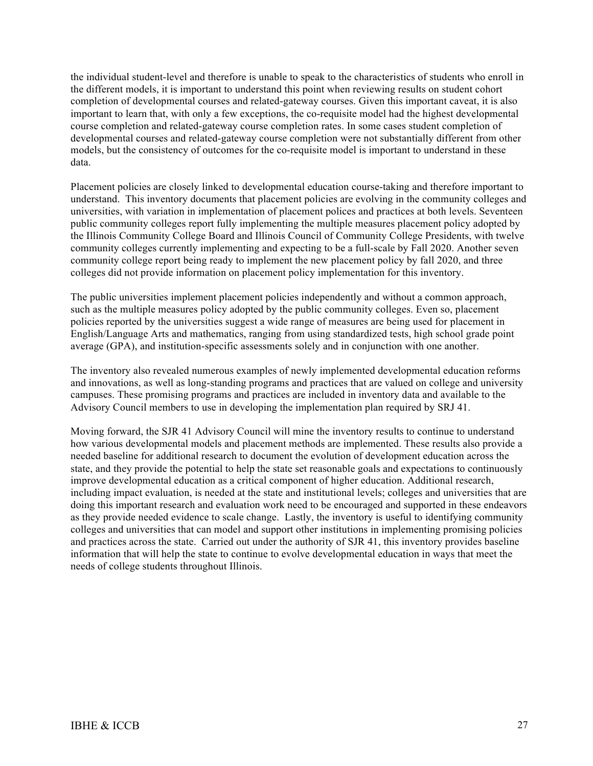the individual student-level and therefore is unable to speak to the characteristics of students who enroll in the different models, it is important to understand this point when reviewing results on student cohort completion of developmental courses and related-gateway courses. Given this important caveat, it is also important to learn that, with only a few exceptions, the co-requisite model had the highest developmental course completion and related-gateway course completion rates. In some cases student completion of developmental courses and related-gateway course completion were not substantially different from other models, but the consistency of outcomes for the co-requisite model is important to understand in these data.

Placement policies are closely linked to developmental education course-taking and therefore important to understand. This inventory documents that placement policies are evolving in the community colleges and universities, with variation in implementation of placement polices and practices at both levels. Seventeen public community colleges report fully implementing the multiple measures placement policy adopted by the Illinois Community College Board and Illinois Council of Community College Presidents, with twelve community colleges currently implementing and expecting to be a full-scale by Fall 2020. Another seven community college report being ready to implement the new placement policy by fall 2020, and three colleges did not provide information on placement policy implementation for this inventory.

The public universities implement placement policies independently and without a common approach, such as the multiple measures policy adopted by the public community colleges. Even so, placement policies reported by the universities suggest a wide range of measures are being used for placement in English/Language Arts and mathematics, ranging from using standardized tests, high school grade point average (GPA), and institution-specific assessments solely and in conjunction with one another.

The inventory also revealed numerous examples of newly implemented developmental education reforms and innovations, as well as long-standing programs and practices that are valued on college and university campuses. These promising programs and practices are included in inventory data and available to the Advisory Council members to use in developing the implementation plan required by SRJ 41.

Moving forward, the SJR 41 Advisory Council will mine the inventory results to continue to understand how various developmental models and placement methods are implemented. These results also provide a needed baseline for additional research to document the evolution of development education across the state, and they provide the potential to help the state set reasonable goals and expectations to continuously improve developmental education as a critical component of higher education. Additional research, including impact evaluation, is needed at the state and institutional levels; colleges and universities that are doing this important research and evaluation work need to be encouraged and supported in these endeavors as they provide needed evidence to scale change. Lastly, the inventory is useful to identifying community colleges and universities that can model and support other institutions in implementing promising policies and practices across the state. Carried out under the authority of SJR 41, this inventory provides baseline information that will help the state to continue to evolve developmental education in ways that meet the needs of college students throughout Illinois.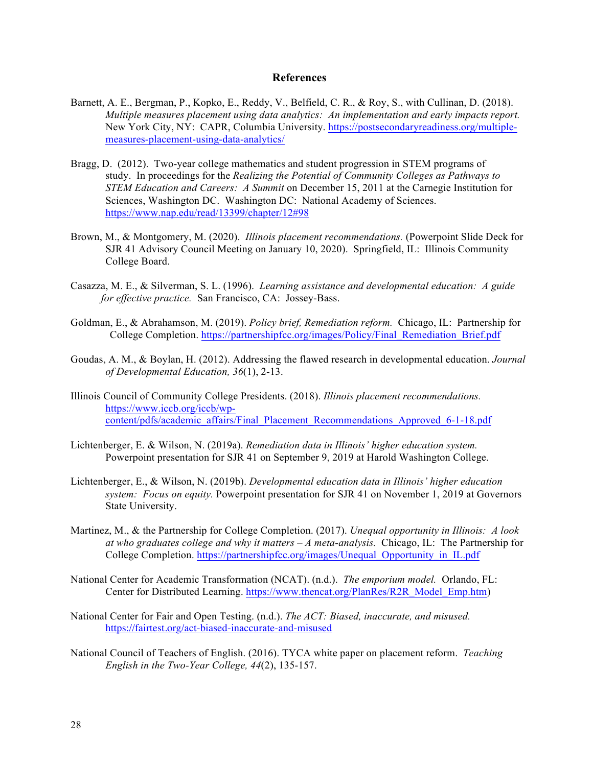#### **References**

- Barnett, A. E., Bergman, P., Kopko, E., Reddy, V., Belfield, C. R., & Roy, S., with Cullinan, D. (2018). *Multiple measures placement using data analytics: An implementation and early impacts report.* New York City, NY: CAPR, Columbia University. https://postsecondaryreadiness.org/multiplemeasures-placement-using-data-analytics/
- Bragg, D. (2012). Two-year college mathematics and student progression in STEM programs of study. In proceedings for the *Realizing the Potential of Community Colleges as Pathways to STEM Education and Careers: A Summit* on December 15, 2011 at the Carnegie Institution for Sciences, Washington DC. Washington DC: National Academy of Sciences. https://www.nap.edu/read/13399/chapter/12#98
- Brown, M., & Montgomery, M. (2020). *Illinois placement recommendations.* (Powerpoint Slide Deck for SJR 41 Advisory Council Meeting on January 10, 2020). Springfield, IL: Illinois Community College Board.
- Casazza, M. E., & Silverman, S. L. (1996). *Learning assistance and developmental education: A guide for effective practice.* San Francisco, CA: Jossey-Bass.
- Goldman, E., & Abrahamson, M. (2019). *Policy brief, Remediation reform.* Chicago, IL: Partnership for College Completion. https://partnershipfcc.org/images/Policy/Final\_Remediation\_Brief.pdf
- Goudas, A. M., & Boylan, H. (2012). Addressing the flawed research in developmental education. *Journal of Developmental Education, 36*(1), 2-13.
- Illinois Council of Community College Presidents. (2018). *Illinois placement recommendations.* https://www.iccb.org/iccb/wpcontent/pdfs/academic\_affairs/Final\_Placement\_Recommendations\_Approved\_6-1-18.pdf
- Lichtenberger, E. & Wilson, N. (2019a). *Remediation data in Illinois' higher education system.* Powerpoint presentation for SJR 41 on September 9, 2019 at Harold Washington College.
- Lichtenberger, E., & Wilson, N. (2019b). *Developmental education data in Illinois' higher education system: Focus on equity.* Powerpoint presentation for SJR 41 on November 1, 2019 at Governors State University.
- Martinez, M., & the Partnership for College Completion. (2017). *Unequal opportunity in Illinois: A look at who graduates college and why it matters – A meta-analysis.* Chicago, IL: The Partnership for College Completion. https://partnershipfcc.org/images/Unequal\_Opportunity\_in\_IL.pdf
- National Center for Academic Transformation (NCAT). (n.d.). *The emporium model.* Orlando, FL: Center for Distributed Learning. https://www.thencat.org/PlanRes/R2R\_Model\_Emp.htm)
- National Center for Fair and Open Testing. (n.d.). *The ACT: Biased, inaccurate, and misused.* https://fairtest.org/act-biased-inaccurate-and-misused
- National Council of Teachers of English. (2016). TYCA white paper on placement reform. *Teaching English in the Two-Year College, 44*(2), 135-157.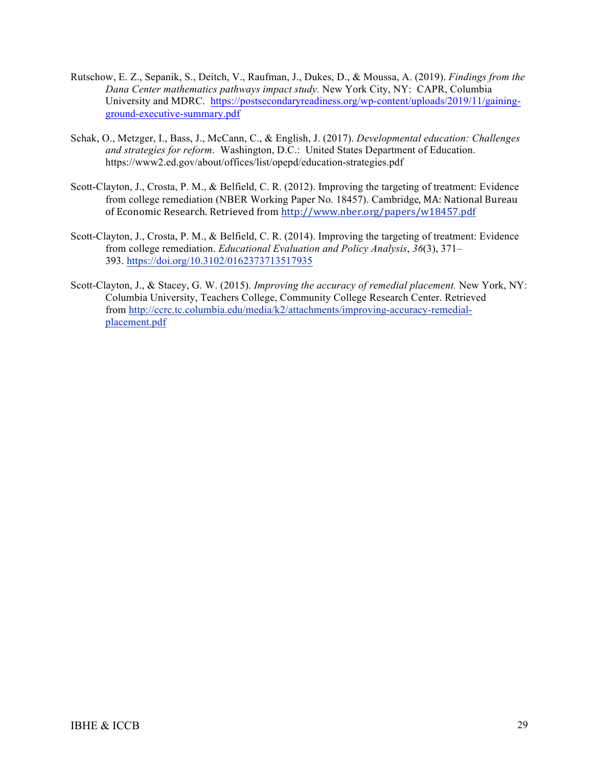- Rutschow, E. Z., Sepanik, S., Deitch, V., Raufman, J., Dukes, D., & Moussa, A. (2019). *Findings from the Dana Center mathematics pathways impact study.* New York City, NY: CAPR, Columbia University and MDRC. https://postsecondaryreadiness.org/wp-content/uploads/2019/11/gainingground-executive-summary.pdf
- Schak, O., Metzger, I., Bass, J., McCann, C., & English, J. (2017). *Developmental education: Challenges and strategies for reform.* Washington, D.C.: United States Department of Education. https://www2.ed.gov/about/offices/list/opepd/education-strategies.pdf
- Scott-Clayton, J., Crosta, P. M., & Belfield, C. R. (2012). Improving the targeting of treatment: Evidence from college remediation (NBER Working Paper No. 18457). Cambridge, MA: National Bureau of Economic Research. Retrieved from http://www.nber.org/papers/w18457.pdf
- Scott-Clayton, J., Crosta, P. M., & Belfield, C. R. (2014). Improving the targeting of treatment: Evidence from college remediation. *Educational Evaluation and Policy Analysis*, *36*(3), 371– 393. https://doi.org/10.3102/0162373713517935
- Scott-Clayton, J., & Stacey, G. W. (2015). *Improving the accuracy of remedial placement.* New York, NY: Columbia University, Teachers College, Community College Research Center. Retrieved from http://ccrc.tc.columbia.edu/media/k2/attachments/improving-accuracy-remedialplacement.pdf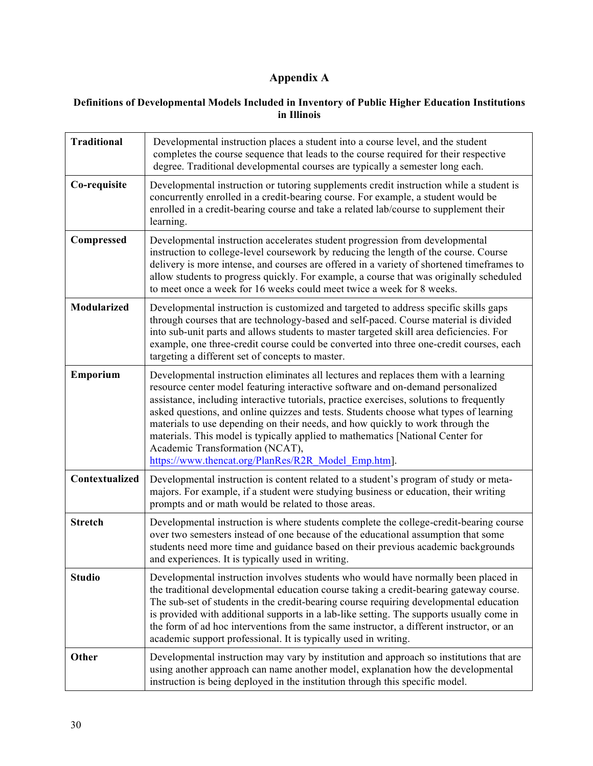# **Appendix A**

#### **Definitions of Developmental Models Included in Inventory of Public Higher Education Institutions in Illinois**

| <b>Traditional</b> | Developmental instruction places a student into a course level, and the student<br>completes the course sequence that leads to the course required for their respective<br>degree. Traditional developmental courses are typically a semester long each.                                                                                                                                                                                                                                                                                                                                                                  |
|--------------------|---------------------------------------------------------------------------------------------------------------------------------------------------------------------------------------------------------------------------------------------------------------------------------------------------------------------------------------------------------------------------------------------------------------------------------------------------------------------------------------------------------------------------------------------------------------------------------------------------------------------------|
| Co-requisite       | Developmental instruction or tutoring supplements credit instruction while a student is<br>concurrently enrolled in a credit-bearing course. For example, a student would be<br>enrolled in a credit-bearing course and take a related lab/course to supplement their<br>learning.                                                                                                                                                                                                                                                                                                                                        |
| Compressed         | Developmental instruction accelerates student progression from developmental<br>instruction to college-level coursework by reducing the length of the course. Course<br>delivery is more intense, and courses are offered in a variety of shortened timeframes to<br>allow students to progress quickly. For example, a course that was originally scheduled<br>to meet once a week for 16 weeks could meet twice a week for 8 weeks.                                                                                                                                                                                     |
| Modularized        | Developmental instruction is customized and targeted to address specific skills gaps<br>through courses that are technology-based and self-paced. Course material is divided<br>into sub-unit parts and allows students to master targeted skill area deficiencies. For<br>example, one three-credit course could be converted into three one-credit courses, each<br>targeting a different set of concepts to master.                                                                                                                                                                                                    |
| Emporium           | Developmental instruction eliminates all lectures and replaces them with a learning<br>resource center model featuring interactive software and on-demand personalized<br>assistance, including interactive tutorials, practice exercises, solutions to frequently<br>asked questions, and online quizzes and tests. Students choose what types of learning<br>materials to use depending on their needs, and how quickly to work through the<br>materials. This model is typically applied to mathematics [National Center for<br>Academic Transformation (NCAT),<br>https://www.thencat.org/PlanRes/R2R Model Emp.htm]. |
| Contextualized     | Developmental instruction is content related to a student's program of study or meta-<br>majors. For example, if a student were studying business or education, their writing<br>prompts and or math would be related to those areas.                                                                                                                                                                                                                                                                                                                                                                                     |
| <b>Stretch</b>     | Developmental instruction is where students complete the college-credit-bearing course<br>over two semesters instead of one because of the educational assumption that some<br>students need more time and guidance based on their previous academic backgrounds<br>and experiences. It is typically used in writing.                                                                                                                                                                                                                                                                                                     |
| <b>Studio</b>      | Developmental instruction involves students who would have normally been placed in<br>the traditional developmental education course taking a credit-bearing gateway course.<br>The sub-set of students in the credit-bearing course requiring developmental education<br>is provided with additional supports in a lab-like setting. The supports usually come in<br>the form of ad hoc interventions from the same instructor, a different instructor, or an<br>academic support professional. It is typically used in writing.                                                                                         |
| Other              | Developmental instruction may vary by institution and approach so institutions that are<br>using another approach can name another model, explanation how the developmental<br>instruction is being deployed in the institution through this specific model.                                                                                                                                                                                                                                                                                                                                                              |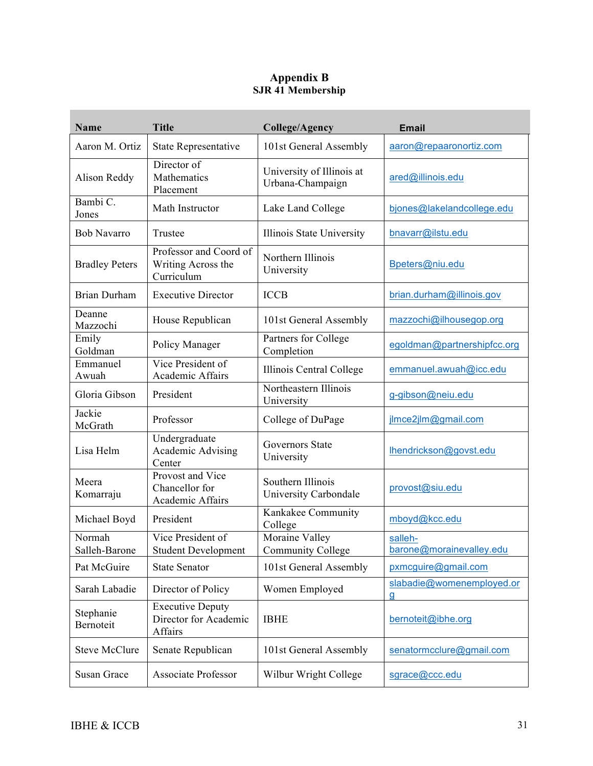## **Appendix B SJR 41 Membership**

| <b>Name</b>             | <b>Title</b>                                                | <b>College/Agency</b>                         | <b>Email</b>                        |
|-------------------------|-------------------------------------------------------------|-----------------------------------------------|-------------------------------------|
| Aaron M. Ortiz          | <b>State Representative</b>                                 | 101st General Assembly                        | aaron@repaaronortiz.com             |
| Alison Reddy            | Director of<br>Mathematics<br>Placement                     | University of Illinois at<br>Urbana-Champaign | ared@illinois.edu                   |
| Bambi C.<br>Jones       | Math Instructor                                             | Lake Land College                             | bjones@lakelandcollege.edu          |
| <b>Bob Navarro</b>      | Trustee                                                     | Illinois State University                     | bnavarr@ilstu.edu                   |
| <b>Bradley Peters</b>   | Professor and Coord of<br>Writing Across the<br>Curriculum  | Northern Illinois<br>University               | Bpeters@niu.edu                     |
| <b>Brian Durham</b>     | <b>Executive Director</b>                                   | <b>ICCB</b>                                   | brian.durham@illinois.gov           |
| Deanne<br>Mazzochi      | House Republican                                            | 101st General Assembly                        | mazzochi@ilhousegop.org             |
| Emily<br>Goldman        | Policy Manager                                              | Partners for College<br>Completion            | egoldman@partnershipfcc.org         |
| Emmanuel<br>Awuah       | Vice President of<br>Academic Affairs                       | Illinois Central College                      | emmanuel.awuah@icc.edu              |
| Gloria Gibson           | President                                                   | Northeastern Illinois<br>University           | g-gibson@neiu.edu                   |
| Jackie<br>McGrath       | Professor                                                   | College of DuPage                             | jlmce2jlm@gmail.com                 |
| Lisa Helm               | Undergraduate<br>Academic Advising<br>Center                | Governors State<br>University                 | Ihendrickson@govst.edu              |
| Meera<br>Komarraju      | Provost and Vice<br>Chancellor for<br>Academic Affairs      | Southern Illinois<br>University Carbondale    | provost@siu.edu                     |
| Michael Boyd            | President                                                   | Kankakee Community<br>College                 | mboyd@kcc.edu                       |
| Normah<br>Salleh-Barone | Vice President of<br><b>Student Development</b>             | Moraine Valley<br><b>Community College</b>    | salleh-<br>barone@morainevalley.edu |
| Pat McGuire             | <b>State Senator</b>                                        | 101st General Assembly                        | pxmcguire@gmail.com                 |
| Sarah Labadie           | Director of Policy                                          | Women Employed                                | slabadie@womenemployed.or<br>g      |
| Stephanie<br>Bernoteit  | <b>Executive Deputy</b><br>Director for Academic<br>Affairs | <b>IBHE</b>                                   | bernoteit@ibhe.org                  |
| <b>Steve McClure</b>    | Senate Republican                                           | 101st General Assembly                        | senatormcclure@gmail.com            |
| Susan Grace             | <b>Associate Professor</b>                                  | Wilbur Wright College                         | sgrace@ccc.edu                      |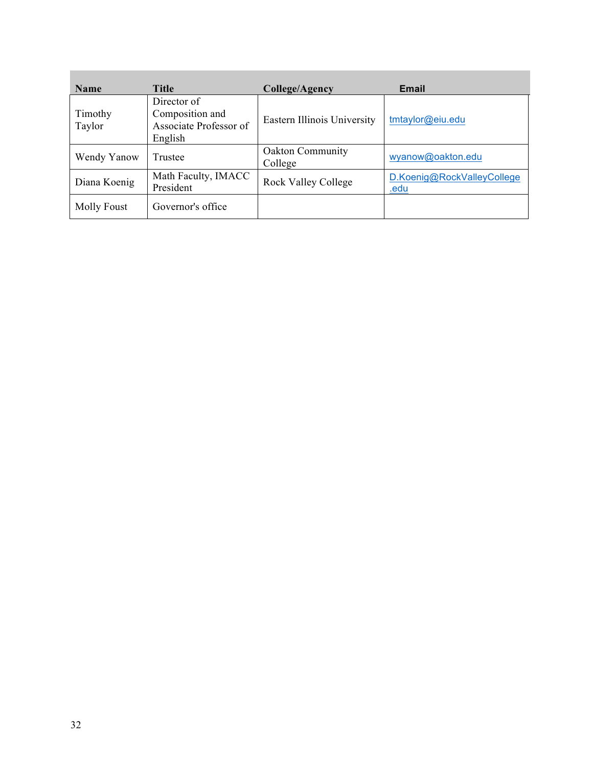| <b>Name</b>       | <b>Title</b>                                                        | College/Agency                     | <b>Email</b>                       |
|-------------------|---------------------------------------------------------------------|------------------------------------|------------------------------------|
| Timothy<br>Taylor | Director of<br>Composition and<br>Associate Professor of<br>English | Eastern Illinois University        | tmtaylor@eiu.edu                   |
| Wendy Yanow       | Trustee                                                             | <b>Oakton Community</b><br>College | wyanow@oakton.edu                  |
| Diana Koenig      | Math Faculty, IMACC<br>President                                    | Rock Valley College                | D.Koenig@RockValleyCollege<br>.edu |
| Molly Foust       | Governor's office                                                   |                                    |                                    |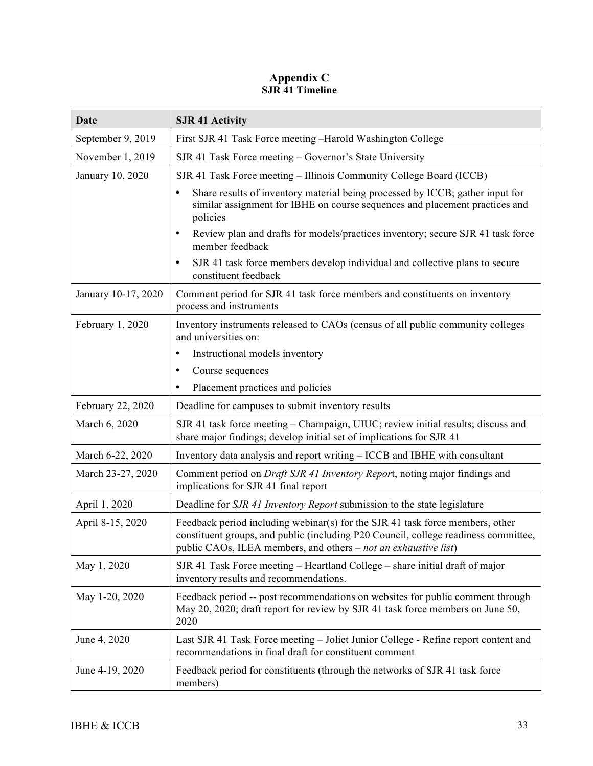## **Appendix C SJR 41 Timeline**

| Date                | <b>SJR 41 Activity</b>                                                                                                                                                                                                                  |
|---------------------|-----------------------------------------------------------------------------------------------------------------------------------------------------------------------------------------------------------------------------------------|
| September 9, 2019   | First SJR 41 Task Force meeting -Harold Washington College                                                                                                                                                                              |
| November 1, 2019    | SJR 41 Task Force meeting - Governor's State University                                                                                                                                                                                 |
| January 10, 2020    | SJR 41 Task Force meeting - Illinois Community College Board (ICCB)                                                                                                                                                                     |
|                     | Share results of inventory material being processed by ICCB; gather input for<br>$\bullet$<br>similar assignment for IBHE on course sequences and placement practices and<br>policies                                                   |
|                     | Review plan and drafts for models/practices inventory; secure SJR 41 task force<br>$\bullet$<br>member feedback                                                                                                                         |
|                     | SJR 41 task force members develop individual and collective plans to secure<br>$\bullet$<br>constituent feedback                                                                                                                        |
| January 10-17, 2020 | Comment period for SJR 41 task force members and constituents on inventory<br>process and instruments                                                                                                                                   |
| February 1, 2020    | Inventory instruments released to CAOs (census of all public community colleges<br>and universities on:                                                                                                                                 |
|                     | Instructional models inventory<br>٠                                                                                                                                                                                                     |
|                     | Course sequences                                                                                                                                                                                                                        |
|                     | Placement practices and policies<br>٠                                                                                                                                                                                                   |
| February 22, 2020   | Deadline for campuses to submit inventory results                                                                                                                                                                                       |
| March 6, 2020       | SJR 41 task force meeting – Champaign, UIUC; review initial results; discuss and<br>share major findings; develop initial set of implications for SJR 41                                                                                |
| March 6-22, 2020    | Inventory data analysis and report writing - ICCB and IBHE with consultant                                                                                                                                                              |
| March 23-27, 2020   | Comment period on Draft SJR 41 Inventory Report, noting major findings and<br>implications for SJR 41 final report                                                                                                                      |
| April 1, 2020       | Deadline for SJR 41 Inventory Report submission to the state legislature                                                                                                                                                                |
| April 8-15, 2020    | Feedback period including webinar(s) for the SJR 41 task force members, other<br>constituent groups, and public (including P20 Council, college readiness committee,<br>public CAOs, ILEA members, and others - not an exhaustive list) |
| May 1, 2020         | SJR 41 Task Force meeting - Heartland College - share initial draft of major<br>inventory results and recommendations.                                                                                                                  |
| May 1-20, 2020      | Feedback period -- post recommendations on websites for public comment through<br>May 20, 2020; draft report for review by SJR 41 task force members on June 50,<br>2020                                                                |
| June 4, 2020        | Last SJR 41 Task Force meeting - Joliet Junior College - Refine report content and<br>recommendations in final draft for constituent comment                                                                                            |
| June 4-19, 2020     | Feedback period for constituents (through the networks of SJR 41 task force<br>members)                                                                                                                                                 |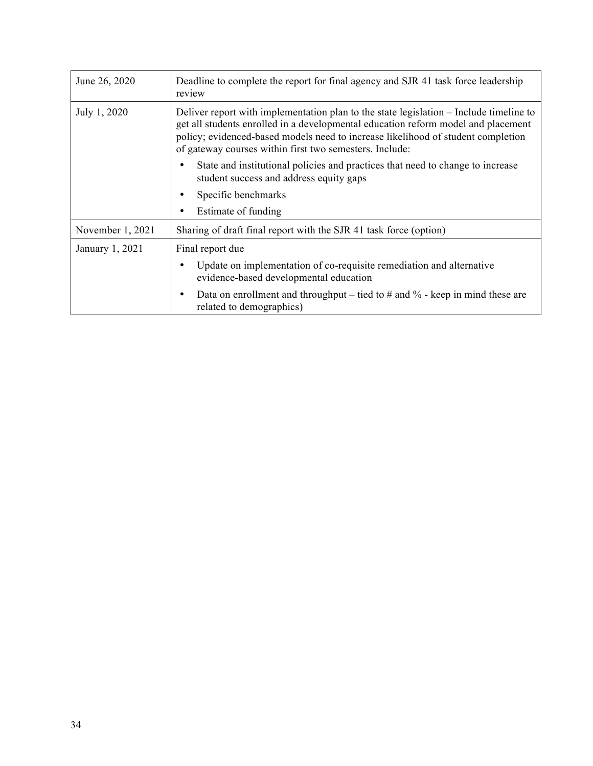| June 26, 2020    | Deadline to complete the report for final agency and SJR 41 task force leadership<br>review                                                                                                                                                                                                                                |  |
|------------------|----------------------------------------------------------------------------------------------------------------------------------------------------------------------------------------------------------------------------------------------------------------------------------------------------------------------------|--|
| July 1, 2020     | Deliver report with implementation plan to the state legislation – Include timeline to<br>get all students enrolled in a developmental education reform model and placement<br>policy; evidenced-based models need to increase likelihood of student completion<br>of gateway courses within first two semesters. Include: |  |
|                  | State and institutional policies and practices that need to change to increase<br>student success and address equity gaps                                                                                                                                                                                                  |  |
|                  | Specific benchmarks<br>$\bullet$                                                                                                                                                                                                                                                                                           |  |
|                  | Estimate of funding                                                                                                                                                                                                                                                                                                        |  |
| November 1, 2021 | Sharing of draft final report with the SJR 41 task force (option)                                                                                                                                                                                                                                                          |  |
| January 1, 2021  | Final report due                                                                                                                                                                                                                                                                                                           |  |
|                  | Update on implementation of co-requisite remediation and alternative<br>٠<br>evidence-based developmental education                                                                                                                                                                                                        |  |
|                  | Data on enrollment and throughput – tied to $\#$ and $\%$ - keep in mind these are<br>٠<br>related to demographics)                                                                                                                                                                                                        |  |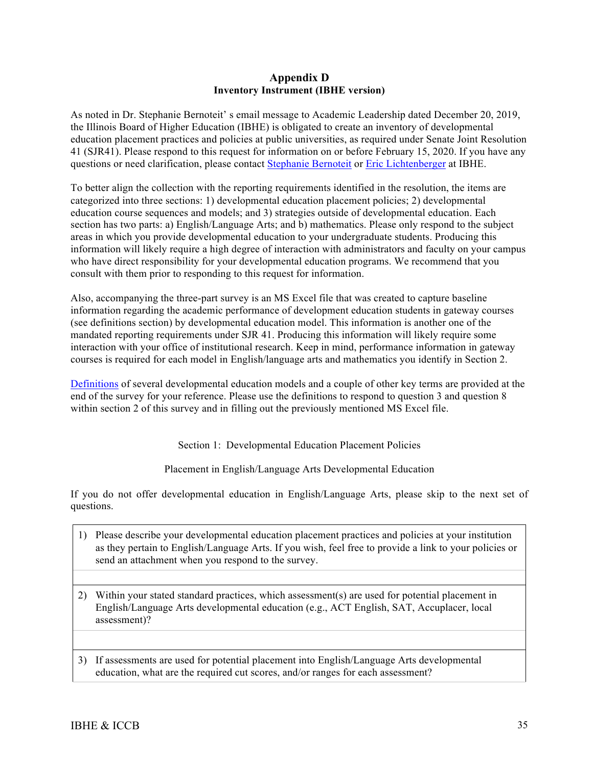#### **Appendix D Inventory Instrument (IBHE version)**

As noted in Dr. Stephanie Bernoteit' s email message to Academic Leadership dated December 20, 2019, the Illinois Board of Higher Education (IBHE) is obligated to create an inventory of developmental education placement practices and policies at public universities, as required under Senate Joint Resolution 41 (SJR41). Please respond to this request for information on or before February 15, 2020. If you have any questions or need clarification, please contact Stephanie Bernoteit or Eric Lichtenberger at IBHE.

To better align the collection with the reporting requirements identified in the resolution, the items are categorized into three sections: 1) developmental education placement policies; 2) developmental education course sequences and models; and 3) strategies outside of developmental education. Each section has two parts: a) English/Language Arts; and b) mathematics. Please only respond to the subject areas in which you provide developmental education to your undergraduate students. Producing this information will likely require a high degree of interaction with administrators and faculty on your campus who have direct responsibility for your developmental education programs. We recommend that you consult with them prior to responding to this request for information.

Also, accompanying the three-part survey is an MS Excel file that was created to capture baseline information regarding the academic performance of development education students in gateway courses (see definitions section) by developmental education model. This information is another one of the mandated reporting requirements under SJR 41. Producing this information will likely require some interaction with your office of institutional research. Keep in mind, performance information in gateway courses is required for each model in English/language arts and mathematics you identify in Section 2.

Definitions of several developmental education models and a couple of other key terms are provided at the end of the survey for your reference. Please use the definitions to respond to question 3 and question 8 within section 2 of this survey and in filling out the previously mentioned MS Excel file.

Section 1: Developmental Education Placement Policies

Placement in English/Language Arts Developmental Education

If you do not offer developmental education in English/Language Arts, please skip to the next set of questions.

- 1) Please describe your developmental education placement practices and policies at your institution as they pertain to English/Language Arts. If you wish, feel free to provide a link to your policies or send an attachment when you respond to the survey.
- 2) Within your stated standard practices, which assessment(s) are used for potential placement in English/Language Arts developmental education (e.g., ACT English, SAT, Accuplacer, local assessment)?

3) If assessments are used for potential placement into English/Language Arts developmental education, what are the required cut scores, and/or ranges for each assessment?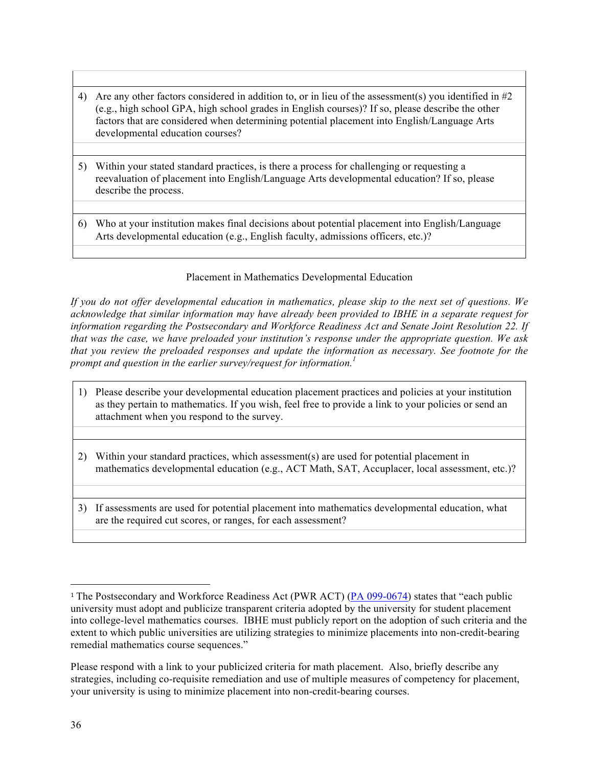- 4) Are any other factors considered in addition to, or in lieu of the assessment(s) you identified in #2 (e.g., high school GPA, high school grades in English courses)? If so, please describe the other factors that are considered when determining potential placement into English/Language Arts developmental education courses?
- 5) Within your stated standard practices, is there a process for challenging or requesting a reevaluation of placement into English/Language Arts developmental education? If so, please describe the process.
- 6) Who at your institution makes final decisions about potential placement into English/Language Arts developmental education (e.g., English faculty, admissions officers, etc.)?

## Placement in Mathematics Developmental Education

*If you do not offer developmental education in mathematics, please skip to the next set of questions. We acknowledge that similar information may have already been provided to IBHE in a separate request for information regarding the Postsecondary and Workforce Readiness Act and Senate Joint Resolution 22. If that was the case, we have preloaded your institution's response under the appropriate question. We ask that you review the preloaded responses and update the information as necessary. See footnote for the prompt and question in the earlier survey/request for information.*<sup>1</sup>

- 1) Please describe your developmental education placement practices and policies at your institution as they pertain to mathematics. If you wish, feel free to provide a link to your policies or send an attachment when you respond to the survey.
- 2) Within your standard practices, which assessment(s) are used for potential placement in mathematics developmental education (e.g., ACT Math, SAT, Accuplacer, local assessment, etc.)?
- 3) If assessments are used for potential placement into mathematics developmental education, what are the required cut scores, or ranges, for each assessment?

 

<sup>1</sup> The Postsecondary and Workforce Readiness Act (PWR ACT) (PA 099-0674) states that "each public university must adopt and publicize transparent criteria adopted by the university for student placement into college-level mathematics courses. IBHE must publicly report on the adoption of such criteria and the extent to which public universities are utilizing strategies to minimize placements into non-credit-bearing remedial mathematics course sequences."

Please respond with a link to your publicized criteria for math placement. Also, briefly describe any strategies, including co-requisite remediation and use of multiple measures of competency for placement, your university is using to minimize placement into non-credit-bearing courses.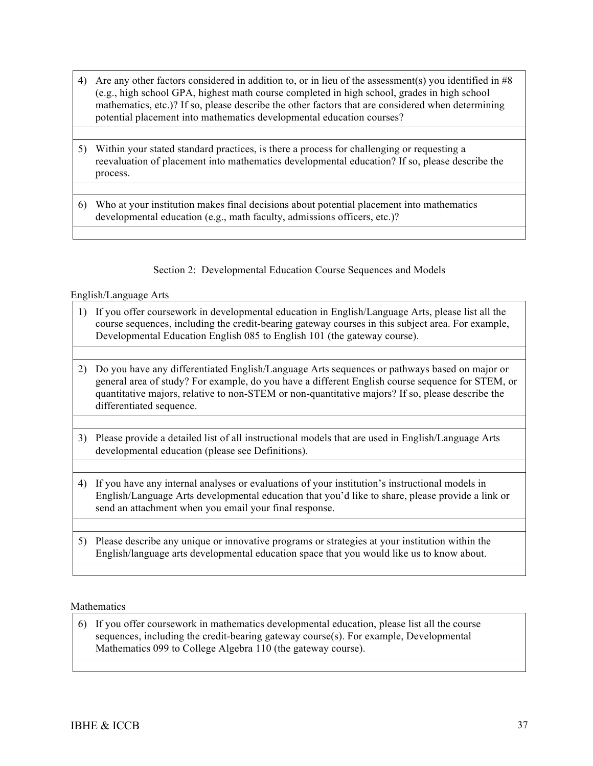- 4) Are any other factors considered in addition to, or in lieu of the assessment(s) you identified in #8 (e.g., high school GPA, highest math course completed in high school, grades in high school mathematics, etc.)? If so, please describe the other factors that are considered when determining potential placement into mathematics developmental education courses?
- 5) Within your stated standard practices, is there a process for challenging or requesting a reevaluation of placement into mathematics developmental education? If so, please describe the process.
- 6) Who at your institution makes final decisions about potential placement into mathematics developmental education (e.g., math faculty, admissions officers, etc.)?

#### Section 2: Developmental Education Course Sequences and Models

#### English/Language Arts

- 1) If you offer coursework in developmental education in English/Language Arts, please list all the course sequences, including the credit-bearing gateway courses in this subject area. For example, Developmental Education English 085 to English 101 (the gateway course).
- 2) Do you have any differentiated English/Language Arts sequences or pathways based on major or general area of study? For example, do you have a different English course sequence for STEM, or quantitative majors, relative to non-STEM or non-quantitative majors? If so, please describe the differentiated sequence.
- 3) Please provide a detailed list of all instructional models that are used in English/Language Arts developmental education (please see Definitions).
- 4) If you have any internal analyses or evaluations of your institution's instructional models in English/Language Arts developmental education that you'd like to share, please provide a link or send an attachment when you email your final response.
- 5) Please describe any unique or innovative programs or strategies at your institution within the English/language arts developmental education space that you would like us to know about.

#### Mathematics

6) If you offer coursework in mathematics developmental education, please list all the course sequences, including the credit-bearing gateway course(s). For example, Developmental Mathematics 099 to College Algebra 110 (the gateway course).